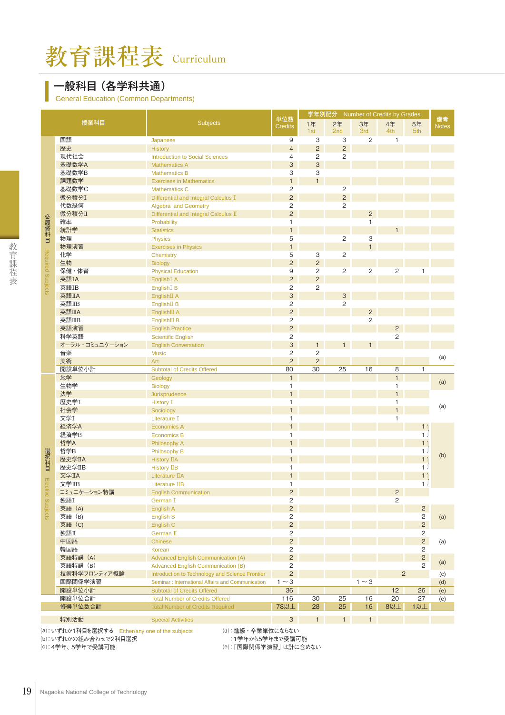## 一般科目(各学科共通)

General Education (Common Departments)

|                   |                |                                                  |                           | 学年別配分 Number of Credits by Grades |                |                |                |                |                    |
|-------------------|----------------|--------------------------------------------------|---------------------------|-----------------------------------|----------------|----------------|----------------|----------------|--------------------|
|                   | 授業科目           | <b>Subjects</b>                                  | 単位数<br><b>Credits</b>     | 1年<br>1st                         | 2年<br>2nd      | 3年<br>3rd      | 4年<br>4th      | 5年<br>5th      | 備考<br><b>Notes</b> |
|                   | 国語             | Japanese                                         | 9                         | 3                                 | 3              | $\mathbf{2}$   | 1              |                |                    |
|                   | 歴史             | <b>History</b>                                   | $\overline{4}$            | 2                                 | 2              |                |                |                |                    |
|                   | 現代社会           | <b>Introduction to Social Sciences</b>           | $\overline{4}$            | $\overline{c}$                    | 2              |                |                |                |                    |
|                   | 基礎数学A          | <b>Mathematics A</b>                             | 3                         | 3                                 |                |                |                |                |                    |
|                   | 基礎数学B          | <b>Mathematics B</b>                             | 3                         | 3                                 |                |                |                |                |                    |
|                   | 課題数学           | <b>Exercises in Mathematics</b>                  | $\mathbf{1}$              | $\mathbf{1}$                      |                |                |                |                |                    |
|                   | 基礎数学C          | <b>Mathematics C</b>                             | $\overline{c}$            |                                   | $\sqrt{2}$     |                |                |                |                    |
|                   | 微分積分I          | Differential and Integral Calculus I             | $\overline{c}$            |                                   | $\overline{c}$ |                |                |                |                    |
|                   | 代数幾何           | Algebra and Geometry                             | $\overline{c}$            |                                   | $\mathbf{2}$   |                |                |                |                    |
|                   | 微分積分Ⅱ          | Differential and Integral Calculus II            | $\overline{2}$            |                                   |                | $\overline{c}$ |                |                |                    |
| 必履修科目             | 確率             | Probability                                      | $\mathbf{1}$              |                                   |                | $\mathbf{1}$   |                |                |                    |
|                   | 統計学            | <b>Statistics</b>                                | $\mathbf{1}$              |                                   |                |                | $\mathbf{1}$   |                |                    |
|                   | 物理             | <b>Physics</b>                                   | 5                         |                                   | $\sqrt{2}$     | 3              |                |                |                    |
|                   | 物理演習           |                                                  | $\mathbf{1}$              |                                   |                | $\mathbf{1}$   |                |                |                    |
|                   | 化学             | <b>Exercises in Physics</b>                      | 5                         |                                   | $\mathbf{2}$   |                |                |                |                    |
| Required Subjects | 生物             | Chemistry                                        | $\mathbf 2$               | 3<br>$\sqrt{2}$                   |                |                |                |                |                    |
|                   |                | <b>Biology</b>                                   | 9                         |                                   |                |                |                |                |                    |
|                   | 保健・体育          | <b>Physical Education</b>                        |                           | 2                                 | $\mathbf{2}$   | $\sqrt{2}$     | $\overline{c}$ | $\mathbf{1}$   |                    |
|                   | 英語IA           | English <sub>I</sub> A                           | $\overline{c}$            | $\overline{2}$                    |                |                |                |                |                    |
|                   | 英語IB           | English <sub>I</sub> B                           | 2                         | 2                                 |                |                |                |                |                    |
|                   | 英語IIA          | EnglishII A                                      | $\sqrt{3}$                |                                   | $\mathsf 3$    |                |                |                |                    |
|                   | 英語IIB          | English <sub>II</sub> B                          | $\overline{c}$            |                                   | $\overline{2}$ |                |                |                |                    |
|                   | 英語IIA          | EnglishIII A                                     | $\mathbf 2$               |                                   |                | $\sqrt{2}$     |                |                |                    |
|                   | 英語IIB          | English <sub>III</sub> B                         | $\overline{c}$            |                                   |                | 2              |                |                |                    |
|                   | 英語演習           | <b>English Practice</b>                          | $\overline{c}$            |                                   |                |                | $\overline{c}$ |                |                    |
|                   | 科学英語           | <b>Scientific English</b>                        | $\overline{c}$            |                                   |                |                | 2              |                |                    |
|                   | オーラル・コミュニケーション | <b>English Conversation</b>                      | $\ensuremath{\mathsf{3}}$ | 1                                 | 1              | $\mathbf{1}$   |                |                |                    |
|                   | 音楽             | <b>Music</b>                                     | $\overline{c}$            | 2                                 |                |                |                |                | (a)                |
|                   | 美術             | Art                                              | $\overline{c}$            | 2                                 |                |                |                |                |                    |
|                   | 開設単位小計         | <b>Subtotal of Credits Offered</b>               | 80                        | 30                                | 25             | 16             | 8              | $\mathbf{1}$   |                    |
|                   | 地学             | Geology                                          | $\mathbf{1}$              |                                   |                |                | $\mathbf{1}$   |                | (a)                |
|                   | 生物学            | <b>Biology</b>                                   | $\mathbf{1}$              |                                   |                |                | $\mathbf{1}$   |                |                    |
|                   | 法学             | Jurisprudence                                    | $\overline{1}$            |                                   |                |                | $\mathbf{1}$   |                |                    |
|                   | 歴史学I           | <b>History I</b>                                 | 1                         |                                   |                |                | $\mathbf{1}$   |                | (a)                |
|                   | 社会学            | Sociology                                        | $\mathbf{1}$              |                                   |                |                | $\mathbf{1}$   |                |                    |
|                   | 文学I            | Literature I                                     | $\mathbf{1}$              |                                   |                |                | $\mathbf{1}$   |                |                    |
|                   | 経済学A           | Economics A                                      | $\mathbf{1}$              |                                   |                |                |                | 1              |                    |
|                   | 経済学B           | <b>Economics B</b>                               | $\mathbf{1}$              |                                   |                |                |                | 1 <sub>1</sub> |                    |
|                   | 哲学A            | Philosophy A                                     | $\mathbf{1}$              |                                   |                |                |                | 1)             |                    |
|                   | 哲学B            | Philosophy B                                     | 1                         |                                   |                |                |                | 1.             | (b)                |
|                   | 歴史学IIA         | <b>History IIA</b>                               | $\overline{1}$            |                                   |                |                |                | 1)             |                    |
| 選択科目              | 歴史学IIB         | History IIB                                      | $\mathbf{1}$              |                                   |                |                |                | 1 <sub>1</sub> |                    |
|                   | 文学IIA          | Literature IIA                                   | $\mathbf{1}$              |                                   |                |                |                | 1)             |                    |
| Electi            | 文学IIB          | Literature IIB                                   | $\mathbf{1}$              |                                   |                |                |                | 1 <sup>1</sup> |                    |
| ଚ                 | コミュニケーション特講    | <b>English Communication</b>                     | $\overline{c}$            |                                   |                |                | $\overline{c}$ |                |                    |
|                   | 独語I            | German I                                         | 2                         |                                   |                |                | 2              |                |                    |
| Subjects          | 英語 (A)         | English A                                        | $\sqrt{2}$                |                                   |                |                |                | $\mathbf{2}$   |                    |
|                   | 英語 (B)         | English B                                        | $\overline{c}$            |                                   |                |                |                | 2              | (a)                |
|                   | 英語 (C)         | English C                                        | $\overline{c}$            |                                   |                |                |                | $\overline{c}$ |                    |
|                   | 独語Ⅱ            | German II                                        | 2                         |                                   |                |                |                | $\mathbf{2}$   |                    |
|                   | 中国語            | Chinese                                          | $\overline{c}$            |                                   |                |                |                | $\overline{2}$ | (a)                |
|                   | 韓国語            | Korean                                           | $\overline{c}$            |                                   |                |                |                | $\mathbf{2}$   |                    |
|                   | 英語特講 (A)       | <b>Advanced English Communication (A)</b>        | $\overline{c}$            |                                   |                |                |                | $\overline{c}$ |                    |
|                   | 英語特講 (B)       | <b>Advanced English Communication (B)</b>        | 2                         |                                   |                |                |                | $\mathbf{2}$   | (a)                |
|                   | 技術科学フロンティア概論   | Introduction to Technology and Science Frontier  | $\overline{2}$            |                                   |                |                | $\overline{2}$ |                | (c)                |
|                   | 国際関係学演習        | Seminar: International Affairs and Communication | $1 \sim 3$                |                                   |                | $1 \sim 3$     |                |                | (d)                |
|                   | 開設単位小計         | <b>Subtotal of Credits Offered</b>               | 36                        |                                   |                |                | 12             | 26             | (e)                |
|                   | 開設単位合計         | <b>Total Number of Credits Offered</b>           | 116                       | 30                                | 25             | 16             | 20             | 27             | (e)                |
|                   | 修得単位数合計        | <b>Total Number of Credits Required</b>          | 78以上                      | 28                                | 25             | 16             | 8以上            | 1以上            |                    |
|                   |                |                                                  |                           |                                   |                |                |                |                |                    |
|                   | 特別活動           | <b>Special Activities</b>                        | $\mathbf{3}$              | 1                                 | $\mathbf{1}$   | $\mathbf{1}$   |                |                |                    |

⒟:進級・卒業単位にならない

⒝:いずれかの組み合わせで2科目選択 (c): 4学年、5学年で受講可能

 :1学年から5学年まで受講可能 ⒠:「国際関係学演習」は計に含めない

Ţ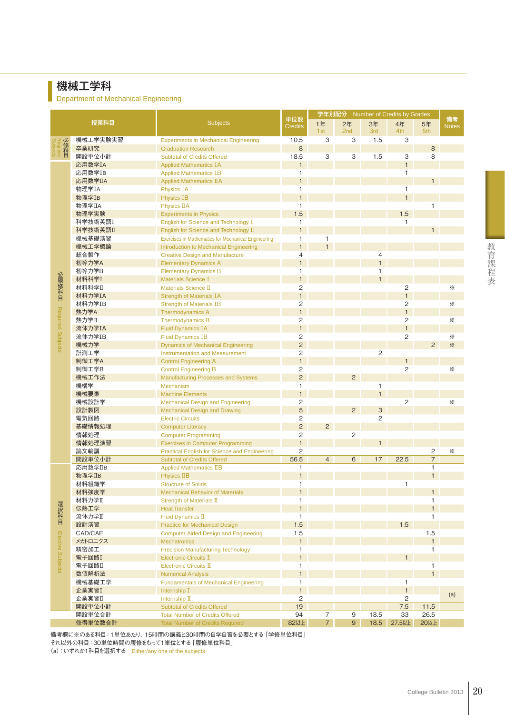# 機械工学科

Department of Mechanical Engineering

| 授業科目<br><b>Subjects</b><br>2年<br>1年<br>3年<br>4年<br>5年<br><b>Credits</b><br><b>Notes</b><br>1st<br>2nd<br>3rd<br>4th<br>5th<br>機械工学実験実習<br>1.5<br>Required<br>10.5<br>3<br>З<br>3<br><b>Experiments in Mechanical Engineering</b><br>卒業研究<br>$\,8\,$<br>8<br><b>Graduation Research</b><br><u>8</u><br>開設単位小計<br>18.5<br>3<br>З<br>1.5<br>3<br>8<br><b>Subtotal of Credits Offered</b><br>$\mathbf{1}$<br>応用数学IA<br>$\mathbf{1}$<br><b>Applied Mathematics IA</b><br>応用数学IB<br>1<br>$\mathbf{1}$<br><b>Applied Mathematics IB</b><br>応用数学IIA<br>$\mathbf{1}$<br>$\mathbf{1}$<br><b>Applied Mathematics IIA</b><br>物理学IA<br><b>Physics IA</b><br>$\mathbf{1}$<br>1<br>物理学IB<br>$\mathbf{1}$<br>$\mathbf{1}$<br><b>Physics IB</b><br>$\mathbf{1}$<br>物理学IIA<br><b>Physics IIA</b><br>1.5<br>物理学実験<br>1.5<br><b>Experiments in Physics</b><br>科学技術英語I<br>English for Science and Technology I<br>1<br>$\mathbf{1}$<br>$\mathbf{1}$<br>科学技術英語II<br>English for Science and Technology II<br>機械基礎演習<br>$\mathbf{1}$<br>$\mathbf{1}$<br><b>Exercises in Mathematics for Mechanical Engineering</b><br>$\mathbf{1}$<br>$\mathbf{1}$<br>機械工学概論<br>Introduction to Mechanical Engineering<br>総合製作<br>4<br>$\overline{4}$<br><b>Creative Design and Manufacture</b><br>$\mathbf{1}$<br>$\mathbf{1}$<br>初等力学A<br><b>Elementary Dynamics A</b><br>初等力学B<br>$\mathbf{1}$<br>$\mathbf{1}$<br><b>Elementary Dynamics B</b><br>必履修科目<br>$\mathbf{1}$<br>材料科学I<br>$\overline{1}$<br><b>Materials Science I</b><br>2<br>$\overline{c}$<br>☀<br>材料科学II<br>Materials Science II<br>$\mathbf{1}$<br>$\mathbf{1}$<br>材料力学IA<br><b>Strength of Materials IA</b><br>2<br>$\overline{c}$<br>材料力学IB<br>☀<br><b>Strength of Materials IB</b><br>Required Subjects<br>$\mathbf{1}$<br>$\mathbf{1}$<br>熱力学A<br><b>Thermodynamics A</b><br>2<br>$\sqrt{2}$<br>熱力学B<br>☀<br><b>Thermodynamics B</b><br>$\mathbf{1}$<br>$\mathbf{1}$<br>流体力学IA<br><b>Fluid Dynamics IA</b><br>$\overline{c}$<br>$\overline{c}$<br>流体力学IB<br>☀<br><b>Fluid Dynamics IB</b><br>$\overline{c}$<br>機械力学<br>☀<br>2<br><b>Dynamics of Mechanical Engineering</b><br>$\overline{c}$<br>計測工学<br>$\mathbf{2}$<br><b>Instrumentation and Measurement</b><br>$\mathbf{1}$<br>制御工学A<br>$\mathbf{1}$<br><b>Control Engineering A</b><br>$\overline{c}$<br>制御工学B<br>$\mathbf{2}$<br>☀<br><b>Control Engineering B</b><br>$\overline{2}$<br>$\overline{2}$<br>機械工作法<br><b>Manufacturing Processes and Systems</b><br>機構学<br>Mechanism<br>$\mathbf{1}$<br>$\mathbf{1}$<br>$\mathbf{1}$<br>$\mathbf{1}$<br>機械要素<br><b>Machine Elements</b><br>$\overline{2}$<br>$\overline{c}$<br>☀<br>機械設計学<br><b>Mechanical Design and Engineering</b><br>5<br>設計製図<br>$\overline{2}$<br>$\mathbf{3}$<br><b>Mechanical Design and Drawing</b><br>$\overline{c}$<br>電気回路<br>2<br><b>Electric Circuits</b><br>$\overline{c}$<br>基礎情報処理<br>2<br><b>Computer Literacy</b><br>$\overline{c}$<br>2<br>情報処理<br><b>Computer Programming</b><br>$\mathbf{1}$<br>情報処理演習<br><b>Exercises in Computer Programming</b><br>$\mathbf{1}$<br>論文輪講<br>$\mathbf{2}$<br>2<br>☀<br>Practical English for Science and Engineering<br>$\overline{7}$<br>開設単位小計<br>56.5<br>$\overline{4}$<br>6<br>17<br>22.5<br><b>Subtotal of Credits Offered</b><br>応用数学IIB<br>$\mathbf{1}$<br><b>Applied Mathematics IIB</b><br>$\mathbf{1}$<br>物理学IIB<br>$\mathbf{1}$<br>$\mathbf{1}$<br><b>Physics IIB</b><br>材料組織学<br><b>Structure of Solids</b><br>$\mathbf{1}$<br>$\mathbf{1}$<br>材料強度学<br><b>Mechanical Behavior of Materials</b><br>1<br>1<br>材料力学Ⅱ<br>$\mathbf{1}$<br>$\mathbf{1}$<br>Strength of Materials II<br>選択科目<br>伝熱工学<br>$\mathbf{1}$<br>$\mathbf{1}$<br><b>Heat Transfer</b><br>流体力学II<br><b>Fluid Dynamics II</b><br>$\mathbf{1}$<br>$\mathbf{1}$<br>1.5<br>設計演習<br>1.5<br><b>Practice for Mechanical Design</b><br>Elective Subjects<br>1.5<br>1.5<br>CAD/CAE<br><b>Computer Aided Design and Engineering</b><br>1<br>$\mathbf{1}$<br>メカトロニクス<br><b>Mechatronics</b><br><b>Precision Manufacturing Technology</b><br>$\mathbf{1}$<br>$\mathbf{1}$<br>精密加工<br>$\mathbf{1}$<br>電子回路I<br>1<br><b>Electronic Circuits I</b><br>$\mathbf{1}$<br>電子回路II<br>Electronic Circuits II<br>$\mathbf{1}$<br>$\mathbf{1}$<br>$\mathbf{1}$<br>数値解析法<br><b>Numerical Analysis</b><br>機械基礎工学<br>$\mathbf{1}$<br><b>Fundamentals of Mechanical Engineering</b><br>1<br>$\mathbf{1}$<br>$\mathbf{1}$<br>企業実習I<br>Internship I<br>(a)<br>企業実習Ⅱ<br>2<br>2<br>Internship II<br>19<br>7.5<br>開設単位小計<br><b>Subtotal of Credits Offered</b><br>11.5<br>開設単位合計<br>94<br>$\overline{7}$<br>33<br>26.5<br><b>Total Number of Credits Offered</b><br>9<br>18.5<br>82以上<br>$\overline{7}$<br>9 <sup>°</sup><br>18.5<br>27.5以上<br>20以上<br>修得単位数合計<br><b>Total Number of Credits Required</b> |  |  |     | 学年別配分 Number of Credits by Grades |  |  |  |  |    |
|---------------------------------------------------------------------------------------------------------------------------------------------------------------------------------------------------------------------------------------------------------------------------------------------------------------------------------------------------------------------------------------------------------------------------------------------------------------------------------------------------------------------------------------------------------------------------------------------------------------------------------------------------------------------------------------------------------------------------------------------------------------------------------------------------------------------------------------------------------------------------------------------------------------------------------------------------------------------------------------------------------------------------------------------------------------------------------------------------------------------------------------------------------------------------------------------------------------------------------------------------------------------------------------------------------------------------------------------------------------------------------------------------------------------------------------------------------------------------------------------------------------------------------------------------------------------------------------------------------------------------------------------------------------------------------------------------------------------------------------------------------------------------------------------------------------------------------------------------------------------------------------------------------------------------------------------------------------------------------------------------------------------------------------------------------------------------------------------------------------------------------------------------------------------------------------------------------------------------------------------------------------------------------------------------------------------------------------------------------------------------------------------------------------------------------------------------------------------------------------------------------------------------------------------------------------------------------------------------------------------------------------------------------------------------------------------------------------------------------------------------------------------------------------------------------------------------------------------------------------------------------------------------------------------------------------------------------------------------------------------------------------------------------------------------------------------------------------------------------------------------------------------------------------------------------------------------------------------------------------------------------------------------------------------------------------------------------------------------------------------------------------------------------------------------------------------------------------------------------------------------------------------------------------------------------------------------------------------------------------------------------------------------------------------------------------------------------------------------------------------------------------------------------------------------------------------------------------------------------------------------------------------------------------------------------------------------------------------------------------------------------------------------------------------------------------------------------------------------------------------------------------------------------------------------------------------------------------------------------------------------------------------------------------------------------------------------------------------------------------------------------------------------------------------------------------------------------------------------------------------------------------------------------------------------------------------------------------------------------------------------------------------------------------------------------------------------------------------------------------------------------------|--|--|-----|-----------------------------------|--|--|--|--|----|
|                                                                                                                                                                                                                                                                                                                                                                                                                                                                                                                                                                                                                                                                                                                                                                                                                                                                                                                                                                                                                                                                                                                                                                                                                                                                                                                                                                                                                                                                                                                                                                                                                                                                                                                                                                                                                                                                                                                                                                                                                                                                                                                                                                                                                                                                                                                                                                                                                                                                                                                                                                                                                                                                                                                                                                                                                                                                                                                                                                                                                                                                                                                                                                                                                                                                                                                                                                                                                                                                                                                                                                                                                                                                                                                                                                                                                                                                                                                                                                                                                                                                                                                                                                                                                                                                                                                                                                                                                                                                                                                                                                                                                                                                                                                                                               |  |  | 単位数 |                                   |  |  |  |  | 備考 |
|                                                                                                                                                                                                                                                                                                                                                                                                                                                                                                                                                                                                                                                                                                                                                                                                                                                                                                                                                                                                                                                                                                                                                                                                                                                                                                                                                                                                                                                                                                                                                                                                                                                                                                                                                                                                                                                                                                                                                                                                                                                                                                                                                                                                                                                                                                                                                                                                                                                                                                                                                                                                                                                                                                                                                                                                                                                                                                                                                                                                                                                                                                                                                                                                                                                                                                                                                                                                                                                                                                                                                                                                                                                                                                                                                                                                                                                                                                                                                                                                                                                                                                                                                                                                                                                                                                                                                                                                                                                                                                                                                                                                                                                                                                                                                               |  |  |     |                                   |  |  |  |  |    |
|                                                                                                                                                                                                                                                                                                                                                                                                                                                                                                                                                                                                                                                                                                                                                                                                                                                                                                                                                                                                                                                                                                                                                                                                                                                                                                                                                                                                                                                                                                                                                                                                                                                                                                                                                                                                                                                                                                                                                                                                                                                                                                                                                                                                                                                                                                                                                                                                                                                                                                                                                                                                                                                                                                                                                                                                                                                                                                                                                                                                                                                                                                                                                                                                                                                                                                                                                                                                                                                                                                                                                                                                                                                                                                                                                                                                                                                                                                                                                                                                                                                                                                                                                                                                                                                                                                                                                                                                                                                                                                                                                                                                                                                                                                                                                               |  |  |     |                                   |  |  |  |  |    |
|                                                                                                                                                                                                                                                                                                                                                                                                                                                                                                                                                                                                                                                                                                                                                                                                                                                                                                                                                                                                                                                                                                                                                                                                                                                                                                                                                                                                                                                                                                                                                                                                                                                                                                                                                                                                                                                                                                                                                                                                                                                                                                                                                                                                                                                                                                                                                                                                                                                                                                                                                                                                                                                                                                                                                                                                                                                                                                                                                                                                                                                                                                                                                                                                                                                                                                                                                                                                                                                                                                                                                                                                                                                                                                                                                                                                                                                                                                                                                                                                                                                                                                                                                                                                                                                                                                                                                                                                                                                                                                                                                                                                                                                                                                                                                               |  |  |     |                                   |  |  |  |  |    |
|                                                                                                                                                                                                                                                                                                                                                                                                                                                                                                                                                                                                                                                                                                                                                                                                                                                                                                                                                                                                                                                                                                                                                                                                                                                                                                                                                                                                                                                                                                                                                                                                                                                                                                                                                                                                                                                                                                                                                                                                                                                                                                                                                                                                                                                                                                                                                                                                                                                                                                                                                                                                                                                                                                                                                                                                                                                                                                                                                                                                                                                                                                                                                                                                                                                                                                                                                                                                                                                                                                                                                                                                                                                                                                                                                                                                                                                                                                                                                                                                                                                                                                                                                                                                                                                                                                                                                                                                                                                                                                                                                                                                                                                                                                                                                               |  |  |     |                                   |  |  |  |  |    |
|                                                                                                                                                                                                                                                                                                                                                                                                                                                                                                                                                                                                                                                                                                                                                                                                                                                                                                                                                                                                                                                                                                                                                                                                                                                                                                                                                                                                                                                                                                                                                                                                                                                                                                                                                                                                                                                                                                                                                                                                                                                                                                                                                                                                                                                                                                                                                                                                                                                                                                                                                                                                                                                                                                                                                                                                                                                                                                                                                                                                                                                                                                                                                                                                                                                                                                                                                                                                                                                                                                                                                                                                                                                                                                                                                                                                                                                                                                                                                                                                                                                                                                                                                                                                                                                                                                                                                                                                                                                                                                                                                                                                                                                                                                                                                               |  |  |     |                                   |  |  |  |  |    |
|                                                                                                                                                                                                                                                                                                                                                                                                                                                                                                                                                                                                                                                                                                                                                                                                                                                                                                                                                                                                                                                                                                                                                                                                                                                                                                                                                                                                                                                                                                                                                                                                                                                                                                                                                                                                                                                                                                                                                                                                                                                                                                                                                                                                                                                                                                                                                                                                                                                                                                                                                                                                                                                                                                                                                                                                                                                                                                                                                                                                                                                                                                                                                                                                                                                                                                                                                                                                                                                                                                                                                                                                                                                                                                                                                                                                                                                                                                                                                                                                                                                                                                                                                                                                                                                                                                                                                                                                                                                                                                                                                                                                                                                                                                                                                               |  |  |     |                                   |  |  |  |  |    |
|                                                                                                                                                                                                                                                                                                                                                                                                                                                                                                                                                                                                                                                                                                                                                                                                                                                                                                                                                                                                                                                                                                                                                                                                                                                                                                                                                                                                                                                                                                                                                                                                                                                                                                                                                                                                                                                                                                                                                                                                                                                                                                                                                                                                                                                                                                                                                                                                                                                                                                                                                                                                                                                                                                                                                                                                                                                                                                                                                                                                                                                                                                                                                                                                                                                                                                                                                                                                                                                                                                                                                                                                                                                                                                                                                                                                                                                                                                                                                                                                                                                                                                                                                                                                                                                                                                                                                                                                                                                                                                                                                                                                                                                                                                                                                               |  |  |     |                                   |  |  |  |  |    |
|                                                                                                                                                                                                                                                                                                                                                                                                                                                                                                                                                                                                                                                                                                                                                                                                                                                                                                                                                                                                                                                                                                                                                                                                                                                                                                                                                                                                                                                                                                                                                                                                                                                                                                                                                                                                                                                                                                                                                                                                                                                                                                                                                                                                                                                                                                                                                                                                                                                                                                                                                                                                                                                                                                                                                                                                                                                                                                                                                                                                                                                                                                                                                                                                                                                                                                                                                                                                                                                                                                                                                                                                                                                                                                                                                                                                                                                                                                                                                                                                                                                                                                                                                                                                                                                                                                                                                                                                                                                                                                                                                                                                                                                                                                                                                               |  |  |     |                                   |  |  |  |  |    |
|                                                                                                                                                                                                                                                                                                                                                                                                                                                                                                                                                                                                                                                                                                                                                                                                                                                                                                                                                                                                                                                                                                                                                                                                                                                                                                                                                                                                                                                                                                                                                                                                                                                                                                                                                                                                                                                                                                                                                                                                                                                                                                                                                                                                                                                                                                                                                                                                                                                                                                                                                                                                                                                                                                                                                                                                                                                                                                                                                                                                                                                                                                                                                                                                                                                                                                                                                                                                                                                                                                                                                                                                                                                                                                                                                                                                                                                                                                                                                                                                                                                                                                                                                                                                                                                                                                                                                                                                                                                                                                                                                                                                                                                                                                                                                               |  |  |     |                                   |  |  |  |  |    |
|                                                                                                                                                                                                                                                                                                                                                                                                                                                                                                                                                                                                                                                                                                                                                                                                                                                                                                                                                                                                                                                                                                                                                                                                                                                                                                                                                                                                                                                                                                                                                                                                                                                                                                                                                                                                                                                                                                                                                                                                                                                                                                                                                                                                                                                                                                                                                                                                                                                                                                                                                                                                                                                                                                                                                                                                                                                                                                                                                                                                                                                                                                                                                                                                                                                                                                                                                                                                                                                                                                                                                                                                                                                                                                                                                                                                                                                                                                                                                                                                                                                                                                                                                                                                                                                                                                                                                                                                                                                                                                                                                                                                                                                                                                                                                               |  |  |     |                                   |  |  |  |  |    |
|                                                                                                                                                                                                                                                                                                                                                                                                                                                                                                                                                                                                                                                                                                                                                                                                                                                                                                                                                                                                                                                                                                                                                                                                                                                                                                                                                                                                                                                                                                                                                                                                                                                                                                                                                                                                                                                                                                                                                                                                                                                                                                                                                                                                                                                                                                                                                                                                                                                                                                                                                                                                                                                                                                                                                                                                                                                                                                                                                                                                                                                                                                                                                                                                                                                                                                                                                                                                                                                                                                                                                                                                                                                                                                                                                                                                                                                                                                                                                                                                                                                                                                                                                                                                                                                                                                                                                                                                                                                                                                                                                                                                                                                                                                                                                               |  |  |     |                                   |  |  |  |  |    |
|                                                                                                                                                                                                                                                                                                                                                                                                                                                                                                                                                                                                                                                                                                                                                                                                                                                                                                                                                                                                                                                                                                                                                                                                                                                                                                                                                                                                                                                                                                                                                                                                                                                                                                                                                                                                                                                                                                                                                                                                                                                                                                                                                                                                                                                                                                                                                                                                                                                                                                                                                                                                                                                                                                                                                                                                                                                                                                                                                                                                                                                                                                                                                                                                                                                                                                                                                                                                                                                                                                                                                                                                                                                                                                                                                                                                                                                                                                                                                                                                                                                                                                                                                                                                                                                                                                                                                                                                                                                                                                                                                                                                                                                                                                                                                               |  |  |     |                                   |  |  |  |  |    |
|                                                                                                                                                                                                                                                                                                                                                                                                                                                                                                                                                                                                                                                                                                                                                                                                                                                                                                                                                                                                                                                                                                                                                                                                                                                                                                                                                                                                                                                                                                                                                                                                                                                                                                                                                                                                                                                                                                                                                                                                                                                                                                                                                                                                                                                                                                                                                                                                                                                                                                                                                                                                                                                                                                                                                                                                                                                                                                                                                                                                                                                                                                                                                                                                                                                                                                                                                                                                                                                                                                                                                                                                                                                                                                                                                                                                                                                                                                                                                                                                                                                                                                                                                                                                                                                                                                                                                                                                                                                                                                                                                                                                                                                                                                                                                               |  |  |     |                                   |  |  |  |  |    |
|                                                                                                                                                                                                                                                                                                                                                                                                                                                                                                                                                                                                                                                                                                                                                                                                                                                                                                                                                                                                                                                                                                                                                                                                                                                                                                                                                                                                                                                                                                                                                                                                                                                                                                                                                                                                                                                                                                                                                                                                                                                                                                                                                                                                                                                                                                                                                                                                                                                                                                                                                                                                                                                                                                                                                                                                                                                                                                                                                                                                                                                                                                                                                                                                                                                                                                                                                                                                                                                                                                                                                                                                                                                                                                                                                                                                                                                                                                                                                                                                                                                                                                                                                                                                                                                                                                                                                                                                                                                                                                                                                                                                                                                                                                                                                               |  |  |     |                                   |  |  |  |  |    |
|                                                                                                                                                                                                                                                                                                                                                                                                                                                                                                                                                                                                                                                                                                                                                                                                                                                                                                                                                                                                                                                                                                                                                                                                                                                                                                                                                                                                                                                                                                                                                                                                                                                                                                                                                                                                                                                                                                                                                                                                                                                                                                                                                                                                                                                                                                                                                                                                                                                                                                                                                                                                                                                                                                                                                                                                                                                                                                                                                                                                                                                                                                                                                                                                                                                                                                                                                                                                                                                                                                                                                                                                                                                                                                                                                                                                                                                                                                                                                                                                                                                                                                                                                                                                                                                                                                                                                                                                                                                                                                                                                                                                                                                                                                                                                               |  |  |     |                                   |  |  |  |  |    |
|                                                                                                                                                                                                                                                                                                                                                                                                                                                                                                                                                                                                                                                                                                                                                                                                                                                                                                                                                                                                                                                                                                                                                                                                                                                                                                                                                                                                                                                                                                                                                                                                                                                                                                                                                                                                                                                                                                                                                                                                                                                                                                                                                                                                                                                                                                                                                                                                                                                                                                                                                                                                                                                                                                                                                                                                                                                                                                                                                                                                                                                                                                                                                                                                                                                                                                                                                                                                                                                                                                                                                                                                                                                                                                                                                                                                                                                                                                                                                                                                                                                                                                                                                                                                                                                                                                                                                                                                                                                                                                                                                                                                                                                                                                                                                               |  |  |     |                                   |  |  |  |  |    |
|                                                                                                                                                                                                                                                                                                                                                                                                                                                                                                                                                                                                                                                                                                                                                                                                                                                                                                                                                                                                                                                                                                                                                                                                                                                                                                                                                                                                                                                                                                                                                                                                                                                                                                                                                                                                                                                                                                                                                                                                                                                                                                                                                                                                                                                                                                                                                                                                                                                                                                                                                                                                                                                                                                                                                                                                                                                                                                                                                                                                                                                                                                                                                                                                                                                                                                                                                                                                                                                                                                                                                                                                                                                                                                                                                                                                                                                                                                                                                                                                                                                                                                                                                                                                                                                                                                                                                                                                                                                                                                                                                                                                                                                                                                                                                               |  |  |     |                                   |  |  |  |  |    |
|                                                                                                                                                                                                                                                                                                                                                                                                                                                                                                                                                                                                                                                                                                                                                                                                                                                                                                                                                                                                                                                                                                                                                                                                                                                                                                                                                                                                                                                                                                                                                                                                                                                                                                                                                                                                                                                                                                                                                                                                                                                                                                                                                                                                                                                                                                                                                                                                                                                                                                                                                                                                                                                                                                                                                                                                                                                                                                                                                                                                                                                                                                                                                                                                                                                                                                                                                                                                                                                                                                                                                                                                                                                                                                                                                                                                                                                                                                                                                                                                                                                                                                                                                                                                                                                                                                                                                                                                                                                                                                                                                                                                                                                                                                                                                               |  |  |     |                                   |  |  |  |  |    |
|                                                                                                                                                                                                                                                                                                                                                                                                                                                                                                                                                                                                                                                                                                                                                                                                                                                                                                                                                                                                                                                                                                                                                                                                                                                                                                                                                                                                                                                                                                                                                                                                                                                                                                                                                                                                                                                                                                                                                                                                                                                                                                                                                                                                                                                                                                                                                                                                                                                                                                                                                                                                                                                                                                                                                                                                                                                                                                                                                                                                                                                                                                                                                                                                                                                                                                                                                                                                                                                                                                                                                                                                                                                                                                                                                                                                                                                                                                                                                                                                                                                                                                                                                                                                                                                                                                                                                                                                                                                                                                                                                                                                                                                                                                                                                               |  |  |     |                                   |  |  |  |  |    |
|                                                                                                                                                                                                                                                                                                                                                                                                                                                                                                                                                                                                                                                                                                                                                                                                                                                                                                                                                                                                                                                                                                                                                                                                                                                                                                                                                                                                                                                                                                                                                                                                                                                                                                                                                                                                                                                                                                                                                                                                                                                                                                                                                                                                                                                                                                                                                                                                                                                                                                                                                                                                                                                                                                                                                                                                                                                                                                                                                                                                                                                                                                                                                                                                                                                                                                                                                                                                                                                                                                                                                                                                                                                                                                                                                                                                                                                                                                                                                                                                                                                                                                                                                                                                                                                                                                                                                                                                                                                                                                                                                                                                                                                                                                                                                               |  |  |     |                                   |  |  |  |  |    |
|                                                                                                                                                                                                                                                                                                                                                                                                                                                                                                                                                                                                                                                                                                                                                                                                                                                                                                                                                                                                                                                                                                                                                                                                                                                                                                                                                                                                                                                                                                                                                                                                                                                                                                                                                                                                                                                                                                                                                                                                                                                                                                                                                                                                                                                                                                                                                                                                                                                                                                                                                                                                                                                                                                                                                                                                                                                                                                                                                                                                                                                                                                                                                                                                                                                                                                                                                                                                                                                                                                                                                                                                                                                                                                                                                                                                                                                                                                                                                                                                                                                                                                                                                                                                                                                                                                                                                                                                                                                                                                                                                                                                                                                                                                                                                               |  |  |     |                                   |  |  |  |  |    |
|                                                                                                                                                                                                                                                                                                                                                                                                                                                                                                                                                                                                                                                                                                                                                                                                                                                                                                                                                                                                                                                                                                                                                                                                                                                                                                                                                                                                                                                                                                                                                                                                                                                                                                                                                                                                                                                                                                                                                                                                                                                                                                                                                                                                                                                                                                                                                                                                                                                                                                                                                                                                                                                                                                                                                                                                                                                                                                                                                                                                                                                                                                                                                                                                                                                                                                                                                                                                                                                                                                                                                                                                                                                                                                                                                                                                                                                                                                                                                                                                                                                                                                                                                                                                                                                                                                                                                                                                                                                                                                                                                                                                                                                                                                                                                               |  |  |     |                                   |  |  |  |  |    |
|                                                                                                                                                                                                                                                                                                                                                                                                                                                                                                                                                                                                                                                                                                                                                                                                                                                                                                                                                                                                                                                                                                                                                                                                                                                                                                                                                                                                                                                                                                                                                                                                                                                                                                                                                                                                                                                                                                                                                                                                                                                                                                                                                                                                                                                                                                                                                                                                                                                                                                                                                                                                                                                                                                                                                                                                                                                                                                                                                                                                                                                                                                                                                                                                                                                                                                                                                                                                                                                                                                                                                                                                                                                                                                                                                                                                                                                                                                                                                                                                                                                                                                                                                                                                                                                                                                                                                                                                                                                                                                                                                                                                                                                                                                                                                               |  |  |     |                                   |  |  |  |  |    |
|                                                                                                                                                                                                                                                                                                                                                                                                                                                                                                                                                                                                                                                                                                                                                                                                                                                                                                                                                                                                                                                                                                                                                                                                                                                                                                                                                                                                                                                                                                                                                                                                                                                                                                                                                                                                                                                                                                                                                                                                                                                                                                                                                                                                                                                                                                                                                                                                                                                                                                                                                                                                                                                                                                                                                                                                                                                                                                                                                                                                                                                                                                                                                                                                                                                                                                                                                                                                                                                                                                                                                                                                                                                                                                                                                                                                                                                                                                                                                                                                                                                                                                                                                                                                                                                                                                                                                                                                                                                                                                                                                                                                                                                                                                                                                               |  |  |     |                                   |  |  |  |  |    |
|                                                                                                                                                                                                                                                                                                                                                                                                                                                                                                                                                                                                                                                                                                                                                                                                                                                                                                                                                                                                                                                                                                                                                                                                                                                                                                                                                                                                                                                                                                                                                                                                                                                                                                                                                                                                                                                                                                                                                                                                                                                                                                                                                                                                                                                                                                                                                                                                                                                                                                                                                                                                                                                                                                                                                                                                                                                                                                                                                                                                                                                                                                                                                                                                                                                                                                                                                                                                                                                                                                                                                                                                                                                                                                                                                                                                                                                                                                                                                                                                                                                                                                                                                                                                                                                                                                                                                                                                                                                                                                                                                                                                                                                                                                                                                               |  |  |     |                                   |  |  |  |  |    |
|                                                                                                                                                                                                                                                                                                                                                                                                                                                                                                                                                                                                                                                                                                                                                                                                                                                                                                                                                                                                                                                                                                                                                                                                                                                                                                                                                                                                                                                                                                                                                                                                                                                                                                                                                                                                                                                                                                                                                                                                                                                                                                                                                                                                                                                                                                                                                                                                                                                                                                                                                                                                                                                                                                                                                                                                                                                                                                                                                                                                                                                                                                                                                                                                                                                                                                                                                                                                                                                                                                                                                                                                                                                                                                                                                                                                                                                                                                                                                                                                                                                                                                                                                                                                                                                                                                                                                                                                                                                                                                                                                                                                                                                                                                                                                               |  |  |     |                                   |  |  |  |  |    |
|                                                                                                                                                                                                                                                                                                                                                                                                                                                                                                                                                                                                                                                                                                                                                                                                                                                                                                                                                                                                                                                                                                                                                                                                                                                                                                                                                                                                                                                                                                                                                                                                                                                                                                                                                                                                                                                                                                                                                                                                                                                                                                                                                                                                                                                                                                                                                                                                                                                                                                                                                                                                                                                                                                                                                                                                                                                                                                                                                                                                                                                                                                                                                                                                                                                                                                                                                                                                                                                                                                                                                                                                                                                                                                                                                                                                                                                                                                                                                                                                                                                                                                                                                                                                                                                                                                                                                                                                                                                                                                                                                                                                                                                                                                                                                               |  |  |     |                                   |  |  |  |  |    |
|                                                                                                                                                                                                                                                                                                                                                                                                                                                                                                                                                                                                                                                                                                                                                                                                                                                                                                                                                                                                                                                                                                                                                                                                                                                                                                                                                                                                                                                                                                                                                                                                                                                                                                                                                                                                                                                                                                                                                                                                                                                                                                                                                                                                                                                                                                                                                                                                                                                                                                                                                                                                                                                                                                                                                                                                                                                                                                                                                                                                                                                                                                                                                                                                                                                                                                                                                                                                                                                                                                                                                                                                                                                                                                                                                                                                                                                                                                                                                                                                                                                                                                                                                                                                                                                                                                                                                                                                                                                                                                                                                                                                                                                                                                                                                               |  |  |     |                                   |  |  |  |  |    |
|                                                                                                                                                                                                                                                                                                                                                                                                                                                                                                                                                                                                                                                                                                                                                                                                                                                                                                                                                                                                                                                                                                                                                                                                                                                                                                                                                                                                                                                                                                                                                                                                                                                                                                                                                                                                                                                                                                                                                                                                                                                                                                                                                                                                                                                                                                                                                                                                                                                                                                                                                                                                                                                                                                                                                                                                                                                                                                                                                                                                                                                                                                                                                                                                                                                                                                                                                                                                                                                                                                                                                                                                                                                                                                                                                                                                                                                                                                                                                                                                                                                                                                                                                                                                                                                                                                                                                                                                                                                                                                                                                                                                                                                                                                                                                               |  |  |     |                                   |  |  |  |  |    |
|                                                                                                                                                                                                                                                                                                                                                                                                                                                                                                                                                                                                                                                                                                                                                                                                                                                                                                                                                                                                                                                                                                                                                                                                                                                                                                                                                                                                                                                                                                                                                                                                                                                                                                                                                                                                                                                                                                                                                                                                                                                                                                                                                                                                                                                                                                                                                                                                                                                                                                                                                                                                                                                                                                                                                                                                                                                                                                                                                                                                                                                                                                                                                                                                                                                                                                                                                                                                                                                                                                                                                                                                                                                                                                                                                                                                                                                                                                                                                                                                                                                                                                                                                                                                                                                                                                                                                                                                                                                                                                                                                                                                                                                                                                                                                               |  |  |     |                                   |  |  |  |  |    |
|                                                                                                                                                                                                                                                                                                                                                                                                                                                                                                                                                                                                                                                                                                                                                                                                                                                                                                                                                                                                                                                                                                                                                                                                                                                                                                                                                                                                                                                                                                                                                                                                                                                                                                                                                                                                                                                                                                                                                                                                                                                                                                                                                                                                                                                                                                                                                                                                                                                                                                                                                                                                                                                                                                                                                                                                                                                                                                                                                                                                                                                                                                                                                                                                                                                                                                                                                                                                                                                                                                                                                                                                                                                                                                                                                                                                                                                                                                                                                                                                                                                                                                                                                                                                                                                                                                                                                                                                                                                                                                                                                                                                                                                                                                                                                               |  |  |     |                                   |  |  |  |  |    |
|                                                                                                                                                                                                                                                                                                                                                                                                                                                                                                                                                                                                                                                                                                                                                                                                                                                                                                                                                                                                                                                                                                                                                                                                                                                                                                                                                                                                                                                                                                                                                                                                                                                                                                                                                                                                                                                                                                                                                                                                                                                                                                                                                                                                                                                                                                                                                                                                                                                                                                                                                                                                                                                                                                                                                                                                                                                                                                                                                                                                                                                                                                                                                                                                                                                                                                                                                                                                                                                                                                                                                                                                                                                                                                                                                                                                                                                                                                                                                                                                                                                                                                                                                                                                                                                                                                                                                                                                                                                                                                                                                                                                                                                                                                                                                               |  |  |     |                                   |  |  |  |  |    |
|                                                                                                                                                                                                                                                                                                                                                                                                                                                                                                                                                                                                                                                                                                                                                                                                                                                                                                                                                                                                                                                                                                                                                                                                                                                                                                                                                                                                                                                                                                                                                                                                                                                                                                                                                                                                                                                                                                                                                                                                                                                                                                                                                                                                                                                                                                                                                                                                                                                                                                                                                                                                                                                                                                                                                                                                                                                                                                                                                                                                                                                                                                                                                                                                                                                                                                                                                                                                                                                                                                                                                                                                                                                                                                                                                                                                                                                                                                                                                                                                                                                                                                                                                                                                                                                                                                                                                                                                                                                                                                                                                                                                                                                                                                                                                               |  |  |     |                                   |  |  |  |  |    |
|                                                                                                                                                                                                                                                                                                                                                                                                                                                                                                                                                                                                                                                                                                                                                                                                                                                                                                                                                                                                                                                                                                                                                                                                                                                                                                                                                                                                                                                                                                                                                                                                                                                                                                                                                                                                                                                                                                                                                                                                                                                                                                                                                                                                                                                                                                                                                                                                                                                                                                                                                                                                                                                                                                                                                                                                                                                                                                                                                                                                                                                                                                                                                                                                                                                                                                                                                                                                                                                                                                                                                                                                                                                                                                                                                                                                                                                                                                                                                                                                                                                                                                                                                                                                                                                                                                                                                                                                                                                                                                                                                                                                                                                                                                                                                               |  |  |     |                                   |  |  |  |  |    |
|                                                                                                                                                                                                                                                                                                                                                                                                                                                                                                                                                                                                                                                                                                                                                                                                                                                                                                                                                                                                                                                                                                                                                                                                                                                                                                                                                                                                                                                                                                                                                                                                                                                                                                                                                                                                                                                                                                                                                                                                                                                                                                                                                                                                                                                                                                                                                                                                                                                                                                                                                                                                                                                                                                                                                                                                                                                                                                                                                                                                                                                                                                                                                                                                                                                                                                                                                                                                                                                                                                                                                                                                                                                                                                                                                                                                                                                                                                                                                                                                                                                                                                                                                                                                                                                                                                                                                                                                                                                                                                                                                                                                                                                                                                                                                               |  |  |     |                                   |  |  |  |  |    |
|                                                                                                                                                                                                                                                                                                                                                                                                                                                                                                                                                                                                                                                                                                                                                                                                                                                                                                                                                                                                                                                                                                                                                                                                                                                                                                                                                                                                                                                                                                                                                                                                                                                                                                                                                                                                                                                                                                                                                                                                                                                                                                                                                                                                                                                                                                                                                                                                                                                                                                                                                                                                                                                                                                                                                                                                                                                                                                                                                                                                                                                                                                                                                                                                                                                                                                                                                                                                                                                                                                                                                                                                                                                                                                                                                                                                                                                                                                                                                                                                                                                                                                                                                                                                                                                                                                                                                                                                                                                                                                                                                                                                                                                                                                                                                               |  |  |     |                                   |  |  |  |  |    |
|                                                                                                                                                                                                                                                                                                                                                                                                                                                                                                                                                                                                                                                                                                                                                                                                                                                                                                                                                                                                                                                                                                                                                                                                                                                                                                                                                                                                                                                                                                                                                                                                                                                                                                                                                                                                                                                                                                                                                                                                                                                                                                                                                                                                                                                                                                                                                                                                                                                                                                                                                                                                                                                                                                                                                                                                                                                                                                                                                                                                                                                                                                                                                                                                                                                                                                                                                                                                                                                                                                                                                                                                                                                                                                                                                                                                                                                                                                                                                                                                                                                                                                                                                                                                                                                                                                                                                                                                                                                                                                                                                                                                                                                                                                                                                               |  |  |     |                                   |  |  |  |  |    |
|                                                                                                                                                                                                                                                                                                                                                                                                                                                                                                                                                                                                                                                                                                                                                                                                                                                                                                                                                                                                                                                                                                                                                                                                                                                                                                                                                                                                                                                                                                                                                                                                                                                                                                                                                                                                                                                                                                                                                                                                                                                                                                                                                                                                                                                                                                                                                                                                                                                                                                                                                                                                                                                                                                                                                                                                                                                                                                                                                                                                                                                                                                                                                                                                                                                                                                                                                                                                                                                                                                                                                                                                                                                                                                                                                                                                                                                                                                                                                                                                                                                                                                                                                                                                                                                                                                                                                                                                                                                                                                                                                                                                                                                                                                                                                               |  |  |     |                                   |  |  |  |  |    |
|                                                                                                                                                                                                                                                                                                                                                                                                                                                                                                                                                                                                                                                                                                                                                                                                                                                                                                                                                                                                                                                                                                                                                                                                                                                                                                                                                                                                                                                                                                                                                                                                                                                                                                                                                                                                                                                                                                                                                                                                                                                                                                                                                                                                                                                                                                                                                                                                                                                                                                                                                                                                                                                                                                                                                                                                                                                                                                                                                                                                                                                                                                                                                                                                                                                                                                                                                                                                                                                                                                                                                                                                                                                                                                                                                                                                                                                                                                                                                                                                                                                                                                                                                                                                                                                                                                                                                                                                                                                                                                                                                                                                                                                                                                                                                               |  |  |     |                                   |  |  |  |  |    |
|                                                                                                                                                                                                                                                                                                                                                                                                                                                                                                                                                                                                                                                                                                                                                                                                                                                                                                                                                                                                                                                                                                                                                                                                                                                                                                                                                                                                                                                                                                                                                                                                                                                                                                                                                                                                                                                                                                                                                                                                                                                                                                                                                                                                                                                                                                                                                                                                                                                                                                                                                                                                                                                                                                                                                                                                                                                                                                                                                                                                                                                                                                                                                                                                                                                                                                                                                                                                                                                                                                                                                                                                                                                                                                                                                                                                                                                                                                                                                                                                                                                                                                                                                                                                                                                                                                                                                                                                                                                                                                                                                                                                                                                                                                                                                               |  |  |     |                                   |  |  |  |  |    |
|                                                                                                                                                                                                                                                                                                                                                                                                                                                                                                                                                                                                                                                                                                                                                                                                                                                                                                                                                                                                                                                                                                                                                                                                                                                                                                                                                                                                                                                                                                                                                                                                                                                                                                                                                                                                                                                                                                                                                                                                                                                                                                                                                                                                                                                                                                                                                                                                                                                                                                                                                                                                                                                                                                                                                                                                                                                                                                                                                                                                                                                                                                                                                                                                                                                                                                                                                                                                                                                                                                                                                                                                                                                                                                                                                                                                                                                                                                                                                                                                                                                                                                                                                                                                                                                                                                                                                                                                                                                                                                                                                                                                                                                                                                                                                               |  |  |     |                                   |  |  |  |  |    |
|                                                                                                                                                                                                                                                                                                                                                                                                                                                                                                                                                                                                                                                                                                                                                                                                                                                                                                                                                                                                                                                                                                                                                                                                                                                                                                                                                                                                                                                                                                                                                                                                                                                                                                                                                                                                                                                                                                                                                                                                                                                                                                                                                                                                                                                                                                                                                                                                                                                                                                                                                                                                                                                                                                                                                                                                                                                                                                                                                                                                                                                                                                                                                                                                                                                                                                                                                                                                                                                                                                                                                                                                                                                                                                                                                                                                                                                                                                                                                                                                                                                                                                                                                                                                                                                                                                                                                                                                                                                                                                                                                                                                                                                                                                                                                               |  |  |     |                                   |  |  |  |  |    |
|                                                                                                                                                                                                                                                                                                                                                                                                                                                                                                                                                                                                                                                                                                                                                                                                                                                                                                                                                                                                                                                                                                                                                                                                                                                                                                                                                                                                                                                                                                                                                                                                                                                                                                                                                                                                                                                                                                                                                                                                                                                                                                                                                                                                                                                                                                                                                                                                                                                                                                                                                                                                                                                                                                                                                                                                                                                                                                                                                                                                                                                                                                                                                                                                                                                                                                                                                                                                                                                                                                                                                                                                                                                                                                                                                                                                                                                                                                                                                                                                                                                                                                                                                                                                                                                                                                                                                                                                                                                                                                                                                                                                                                                                                                                                                               |  |  |     |                                   |  |  |  |  |    |
|                                                                                                                                                                                                                                                                                                                                                                                                                                                                                                                                                                                                                                                                                                                                                                                                                                                                                                                                                                                                                                                                                                                                                                                                                                                                                                                                                                                                                                                                                                                                                                                                                                                                                                                                                                                                                                                                                                                                                                                                                                                                                                                                                                                                                                                                                                                                                                                                                                                                                                                                                                                                                                                                                                                                                                                                                                                                                                                                                                                                                                                                                                                                                                                                                                                                                                                                                                                                                                                                                                                                                                                                                                                                                                                                                                                                                                                                                                                                                                                                                                                                                                                                                                                                                                                                                                                                                                                                                                                                                                                                                                                                                                                                                                                                                               |  |  |     |                                   |  |  |  |  |    |
|                                                                                                                                                                                                                                                                                                                                                                                                                                                                                                                                                                                                                                                                                                                                                                                                                                                                                                                                                                                                                                                                                                                                                                                                                                                                                                                                                                                                                                                                                                                                                                                                                                                                                                                                                                                                                                                                                                                                                                                                                                                                                                                                                                                                                                                                                                                                                                                                                                                                                                                                                                                                                                                                                                                                                                                                                                                                                                                                                                                                                                                                                                                                                                                                                                                                                                                                                                                                                                                                                                                                                                                                                                                                                                                                                                                                                                                                                                                                                                                                                                                                                                                                                                                                                                                                                                                                                                                                                                                                                                                                                                                                                                                                                                                                                               |  |  |     |                                   |  |  |  |  |    |
|                                                                                                                                                                                                                                                                                                                                                                                                                                                                                                                                                                                                                                                                                                                                                                                                                                                                                                                                                                                                                                                                                                                                                                                                                                                                                                                                                                                                                                                                                                                                                                                                                                                                                                                                                                                                                                                                                                                                                                                                                                                                                                                                                                                                                                                                                                                                                                                                                                                                                                                                                                                                                                                                                                                                                                                                                                                                                                                                                                                                                                                                                                                                                                                                                                                                                                                                                                                                                                                                                                                                                                                                                                                                                                                                                                                                                                                                                                                                                                                                                                                                                                                                                                                                                                                                                                                                                                                                                                                                                                                                                                                                                                                                                                                                                               |  |  |     |                                   |  |  |  |  |    |
|                                                                                                                                                                                                                                                                                                                                                                                                                                                                                                                                                                                                                                                                                                                                                                                                                                                                                                                                                                                                                                                                                                                                                                                                                                                                                                                                                                                                                                                                                                                                                                                                                                                                                                                                                                                                                                                                                                                                                                                                                                                                                                                                                                                                                                                                                                                                                                                                                                                                                                                                                                                                                                                                                                                                                                                                                                                                                                                                                                                                                                                                                                                                                                                                                                                                                                                                                                                                                                                                                                                                                                                                                                                                                                                                                                                                                                                                                                                                                                                                                                                                                                                                                                                                                                                                                                                                                                                                                                                                                                                                                                                                                                                                                                                                                               |  |  |     |                                   |  |  |  |  |    |
|                                                                                                                                                                                                                                                                                                                                                                                                                                                                                                                                                                                                                                                                                                                                                                                                                                                                                                                                                                                                                                                                                                                                                                                                                                                                                                                                                                                                                                                                                                                                                                                                                                                                                                                                                                                                                                                                                                                                                                                                                                                                                                                                                                                                                                                                                                                                                                                                                                                                                                                                                                                                                                                                                                                                                                                                                                                                                                                                                                                                                                                                                                                                                                                                                                                                                                                                                                                                                                                                                                                                                                                                                                                                                                                                                                                                                                                                                                                                                                                                                                                                                                                                                                                                                                                                                                                                                                                                                                                                                                                                                                                                                                                                                                                                                               |  |  |     |                                   |  |  |  |  |    |
|                                                                                                                                                                                                                                                                                                                                                                                                                                                                                                                                                                                                                                                                                                                                                                                                                                                                                                                                                                                                                                                                                                                                                                                                                                                                                                                                                                                                                                                                                                                                                                                                                                                                                                                                                                                                                                                                                                                                                                                                                                                                                                                                                                                                                                                                                                                                                                                                                                                                                                                                                                                                                                                                                                                                                                                                                                                                                                                                                                                                                                                                                                                                                                                                                                                                                                                                                                                                                                                                                                                                                                                                                                                                                                                                                                                                                                                                                                                                                                                                                                                                                                                                                                                                                                                                                                                                                                                                                                                                                                                                                                                                                                                                                                                                                               |  |  |     |                                   |  |  |  |  |    |
|                                                                                                                                                                                                                                                                                                                                                                                                                                                                                                                                                                                                                                                                                                                                                                                                                                                                                                                                                                                                                                                                                                                                                                                                                                                                                                                                                                                                                                                                                                                                                                                                                                                                                                                                                                                                                                                                                                                                                                                                                                                                                                                                                                                                                                                                                                                                                                                                                                                                                                                                                                                                                                                                                                                                                                                                                                                                                                                                                                                                                                                                                                                                                                                                                                                                                                                                                                                                                                                                                                                                                                                                                                                                                                                                                                                                                                                                                                                                                                                                                                                                                                                                                                                                                                                                                                                                                                                                                                                                                                                                                                                                                                                                                                                                                               |  |  |     |                                   |  |  |  |  |    |
|                                                                                                                                                                                                                                                                                                                                                                                                                                                                                                                                                                                                                                                                                                                                                                                                                                                                                                                                                                                                                                                                                                                                                                                                                                                                                                                                                                                                                                                                                                                                                                                                                                                                                                                                                                                                                                                                                                                                                                                                                                                                                                                                                                                                                                                                                                                                                                                                                                                                                                                                                                                                                                                                                                                                                                                                                                                                                                                                                                                                                                                                                                                                                                                                                                                                                                                                                                                                                                                                                                                                                                                                                                                                                                                                                                                                                                                                                                                                                                                                                                                                                                                                                                                                                                                                                                                                                                                                                                                                                                                                                                                                                                                                                                                                                               |  |  |     |                                   |  |  |  |  |    |
|                                                                                                                                                                                                                                                                                                                                                                                                                                                                                                                                                                                                                                                                                                                                                                                                                                                                                                                                                                                                                                                                                                                                                                                                                                                                                                                                                                                                                                                                                                                                                                                                                                                                                                                                                                                                                                                                                                                                                                                                                                                                                                                                                                                                                                                                                                                                                                                                                                                                                                                                                                                                                                                                                                                                                                                                                                                                                                                                                                                                                                                                                                                                                                                                                                                                                                                                                                                                                                                                                                                                                                                                                                                                                                                                                                                                                                                                                                                                                                                                                                                                                                                                                                                                                                                                                                                                                                                                                                                                                                                                                                                                                                                                                                                                                               |  |  |     |                                   |  |  |  |  |    |
|                                                                                                                                                                                                                                                                                                                                                                                                                                                                                                                                                                                                                                                                                                                                                                                                                                                                                                                                                                                                                                                                                                                                                                                                                                                                                                                                                                                                                                                                                                                                                                                                                                                                                                                                                                                                                                                                                                                                                                                                                                                                                                                                                                                                                                                                                                                                                                                                                                                                                                                                                                                                                                                                                                                                                                                                                                                                                                                                                                                                                                                                                                                                                                                                                                                                                                                                                                                                                                                                                                                                                                                                                                                                                                                                                                                                                                                                                                                                                                                                                                                                                                                                                                                                                                                                                                                                                                                                                                                                                                                                                                                                                                                                                                                                                               |  |  |     |                                   |  |  |  |  |    |
|                                                                                                                                                                                                                                                                                                                                                                                                                                                                                                                                                                                                                                                                                                                                                                                                                                                                                                                                                                                                                                                                                                                                                                                                                                                                                                                                                                                                                                                                                                                                                                                                                                                                                                                                                                                                                                                                                                                                                                                                                                                                                                                                                                                                                                                                                                                                                                                                                                                                                                                                                                                                                                                                                                                                                                                                                                                                                                                                                                                                                                                                                                                                                                                                                                                                                                                                                                                                                                                                                                                                                                                                                                                                                                                                                                                                                                                                                                                                                                                                                                                                                                                                                                                                                                                                                                                                                                                                                                                                                                                                                                                                                                                                                                                                                               |  |  |     |                                   |  |  |  |  |    |
|                                                                                                                                                                                                                                                                                                                                                                                                                                                                                                                                                                                                                                                                                                                                                                                                                                                                                                                                                                                                                                                                                                                                                                                                                                                                                                                                                                                                                                                                                                                                                                                                                                                                                                                                                                                                                                                                                                                                                                                                                                                                                                                                                                                                                                                                                                                                                                                                                                                                                                                                                                                                                                                                                                                                                                                                                                                                                                                                                                                                                                                                                                                                                                                                                                                                                                                                                                                                                                                                                                                                                                                                                                                                                                                                                                                                                                                                                                                                                                                                                                                                                                                                                                                                                                                                                                                                                                                                                                                                                                                                                                                                                                                                                                                                                               |  |  |     |                                   |  |  |  |  |    |
|                                                                                                                                                                                                                                                                                                                                                                                                                                                                                                                                                                                                                                                                                                                                                                                                                                                                                                                                                                                                                                                                                                                                                                                                                                                                                                                                                                                                                                                                                                                                                                                                                                                                                                                                                                                                                                                                                                                                                                                                                                                                                                                                                                                                                                                                                                                                                                                                                                                                                                                                                                                                                                                                                                                                                                                                                                                                                                                                                                                                                                                                                                                                                                                                                                                                                                                                                                                                                                                                                                                                                                                                                                                                                                                                                                                                                                                                                                                                                                                                                                                                                                                                                                                                                                                                                                                                                                                                                                                                                                                                                                                                                                                                                                                                                               |  |  |     |                                   |  |  |  |  |    |
|                                                                                                                                                                                                                                                                                                                                                                                                                                                                                                                                                                                                                                                                                                                                                                                                                                                                                                                                                                                                                                                                                                                                                                                                                                                                                                                                                                                                                                                                                                                                                                                                                                                                                                                                                                                                                                                                                                                                                                                                                                                                                                                                                                                                                                                                                                                                                                                                                                                                                                                                                                                                                                                                                                                                                                                                                                                                                                                                                                                                                                                                                                                                                                                                                                                                                                                                                                                                                                                                                                                                                                                                                                                                                                                                                                                                                                                                                                                                                                                                                                                                                                                                                                                                                                                                                                                                                                                                                                                                                                                                                                                                                                                                                                                                                               |  |  |     |                                   |  |  |  |  |    |
|                                                                                                                                                                                                                                                                                                                                                                                                                                                                                                                                                                                                                                                                                                                                                                                                                                                                                                                                                                                                                                                                                                                                                                                                                                                                                                                                                                                                                                                                                                                                                                                                                                                                                                                                                                                                                                                                                                                                                                                                                                                                                                                                                                                                                                                                                                                                                                                                                                                                                                                                                                                                                                                                                                                                                                                                                                                                                                                                                                                                                                                                                                                                                                                                                                                                                                                                                                                                                                                                                                                                                                                                                                                                                                                                                                                                                                                                                                                                                                                                                                                                                                                                                                                                                                                                                                                                                                                                                                                                                                                                                                                                                                                                                                                                                               |  |  |     |                                   |  |  |  |  |    |

備考欄に※のある科目:1単位あたり、15時間の講義と30時間の自学自習を必要とする「学修単位科目」 それ以外の科目:30単位時間の履修をもって1単位とする「履修単位科目」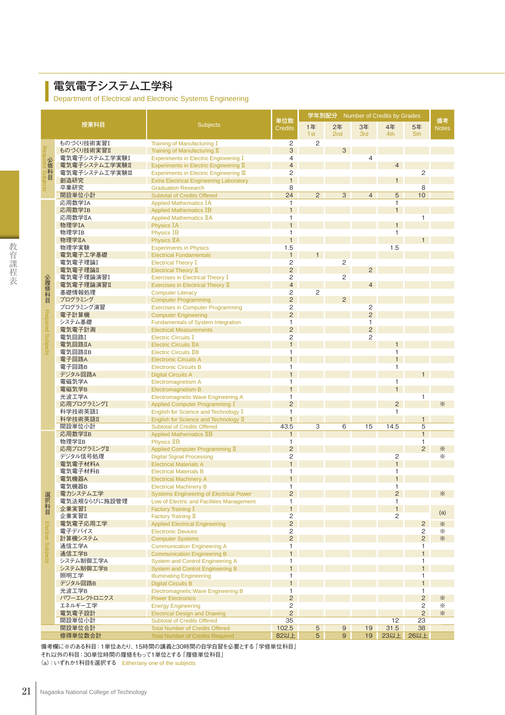#### 電気電子システム工学科

Π

Department of Electrical and Electronic Systems Engineering

|                   |                                |                                                                                             |                                  | 学年別配分           |                |                                |                                |                              |                        |
|-------------------|--------------------------------|---------------------------------------------------------------------------------------------|----------------------------------|-----------------|----------------|--------------------------------|--------------------------------|------------------------------|------------------------|
|                   | 授業科目                           | <b>Subjects</b>                                                                             | 単位数<br><b>Credits</b>            | 1年              | 2年             | 3年                             | 4年                             | 5年                           | 備考<br><b>Notes</b>     |
| ものづくり技術実習I        |                                |                                                                                             | 1st                              | 2 <sub>nd</sub> | 3rd            | 4th                            | 5th                            |                              |                        |
|                   |                                | Training of Manufacturing I                                                                 | $\mathbf{2}$                     | $\mathbf{2}$    |                |                                |                                |                              |                        |
| Req               | ものづくり技術実習II                    | Training of Manufacturing II                                                                | 3                                |                 | 3              |                                |                                |                              |                        |
| 必修科目              | 電気電子システム工学実験I<br>電気電子システム工学実験Ⅱ | <b>Experiments in Electric Engineering I</b><br>Experiments in Electric Engineering II      | $\overline{4}$<br>$\overline{4}$ |                 |                | 4                              | $\overline{4}$                 |                              |                        |
|                   | 電気電子システム工学実験Ⅲ                  | Experiments in Electric Engineering III                                                     | $\overline{2}$                   |                 |                |                                |                                | $\overline{2}$               |                        |
|                   | 創造研究                           | <b>Extra Electrical Engineering Laboratory</b>                                              | $\mathbf{1}$                     |                 |                |                                | $\mathbf{1}$                   |                              |                        |
| ဒ္တ               | 卒業研究                           | <b>Graduation Research</b>                                                                  | 8                                |                 |                |                                |                                | 8                            |                        |
|                   | 開設単位小計                         | <b>Subtotal of Credits Offered</b>                                                          | 24                               | $\overline{2}$  | 3              | $\overline{4}$                 | 5                              | 10                           |                        |
|                   | 応用数学IA<br>応用数学IB               | <b>Applied Mathematics IA</b>                                                               | $\mathbf{1}$<br>$\mathbf{1}$     |                 |                |                                | $\mathbf{1}$<br>$\mathbf{1}$   |                              |                        |
|                   | 応用数学IIA                        | <b>Applied Mathematics IB</b><br><b>Applied Mathematics IIA</b>                             | $\mathbf{1}$                     |                 |                |                                |                                | $\mathbf{1}$                 |                        |
|                   | 物理学IA                          | <b>Physics IA</b>                                                                           | $\mathbf{1}$                     |                 |                |                                | $\mathbf{1}$                   |                              |                        |
|                   | 物理学IB                          | <b>Physics IB</b>                                                                           | $\mathbf{1}$                     |                 |                |                                | $\mathbf{1}$                   |                              |                        |
|                   | 物理学IIA                         | Physics IIA                                                                                 | $\mathbf{1}$                     |                 |                |                                |                                | 1                            |                        |
|                   | 物理学実験                          | <b>Experiments in Physics</b>                                                               | 1.5                              |                 |                |                                | 1.5                            |                              |                        |
|                   | 電気電子工学基礎                       | <b>Electrical Fundamentals</b>                                                              | $\mathbf{1}$                     | 1               |                |                                |                                |                              |                        |
|                   | 電気電子理論I<br>電気電子理論Ⅱ             | <b>Electrical Theory I</b><br>Electrical Theory II                                          | 2<br>$\overline{2}$              |                 | $\sqrt{2}$     | $\overline{2}$                 |                                |                              |                        |
|                   | 電気電子理論演習I                      | <b>Exercises in Electrical Theory I</b>                                                     | $\overline{c}$                   |                 | 2              |                                |                                |                              |                        |
| 必履修科目             | 電気電子理論演習II                     | Exercises in Electrical Theory II                                                           | $\overline{4}$                   |                 |                | $\overline{4}$                 |                                |                              |                        |
|                   | 基礎情報処理                         | <b>Computer Literacy</b>                                                                    | $\overline{c}$                   | $\overline{c}$  |                |                                |                                |                              |                        |
|                   | プログラミング                        | <b>Computer Programming</b>                                                                 | $\overline{2}$                   |                 | $\overline{2}$ |                                |                                |                              |                        |
|                   | プログラミング演習                      | <b>Exercises in Computer Programming</b>                                                    | 2                                |                 |                | $\mathbf{2}$                   |                                |                              |                        |
|                   | 電子計算機                          | <b>Computer Engineering</b>                                                                 | $\overline{c}$                   |                 |                | $\overline{2}$                 |                                |                              |                        |
|                   | システム基礎<br>電気電子計測               | <b>Fundamentals of System Integration</b><br><b>Electrical Measurements</b>                 | $\mathbf{1}$<br>$\overline{2}$   |                 |                | $\mathbf{1}$<br>$\overline{2}$ |                                |                              |                        |
|                   | 電気回路I                          | <b>Electric Circuits I</b>                                                                  | $\overline{c}$                   |                 |                | $\overline{c}$                 |                                |                              |                        |
| Required Subjects | 電気回路IIA                        | <b>Electric Circuits TIA</b>                                                                | $\mathbf{1}$                     |                 |                |                                | $\mathbf{1}$                   |                              |                        |
|                   | 電気回路IIB                        | <b>Electric Circuits IIB</b>                                                                | $\mathbf{1}$                     |                 |                |                                | $\mathbf{1}$                   |                              |                        |
|                   | 電子回路A                          | <b>Electronic Circuits A</b>                                                                | $\mathbf{1}$                     |                 |                |                                | $\mathbf{1}$                   |                              |                        |
|                   | 電子回路B                          | <b>Electronic Circuits B</b>                                                                | $\mathbf{1}$                     |                 |                |                                | 1                              |                              |                        |
|                   | デジタル回路A                        | <b>Digital Circuits A</b>                                                                   | $\mathbf{1}$                     |                 |                |                                |                                | $\mathbf{1}$                 |                        |
|                   | 電磁気学A<br>電磁気学B                 | Electromagnetism A<br><b>Electromagnetism B</b>                                             | $\mathbf{1}$<br>$\mathbf{1}$     |                 |                |                                | 1<br>$\mathbf{1}$              |                              |                        |
|                   | 光波工学A                          | <b>Electromagnetic Wave Engineering A</b>                                                   | $\mathbf{1}$                     |                 |                |                                |                                | $\mathbf{1}$                 |                        |
|                   | 応用プログラミングI                     | Applied Computer Programming I                                                              | $\overline{2}$                   |                 |                |                                | $\overline{2}$                 |                              | ☀                      |
|                   | 科学技術英語I                        | English for Science and Technology I                                                        | $\mathbf{1}$                     |                 |                |                                | $\mathbf{1}$                   |                              |                        |
|                   | 科学技術英語II                       | English for Science and Technology II                                                       | $\mathbf{1}$                     |                 |                |                                |                                | $\mathbf{1}$                 |                        |
|                   | 開設単位小計                         | <b>Subtotal of Credits Offered</b>                                                          | 43.5                             | 3               | 6              | 15                             | 14.5                           | 5                            |                        |
|                   | 応用数学IIB<br>物理学IIB              | <b>Applied Mathematics IIB</b>                                                              | $\mathbf{1}$<br>$\mathbf{1}$     |                 |                |                                |                                | $\mathbf{1}$<br>$\mathbf{1}$ |                        |
|                   | 応用プログラミングⅡ                     | <b>Physics IIB</b><br>Applied Computer Programming II                                       | $\overline{2}$                   |                 |                |                                |                                | $\overline{2}$               | $\cdot\!\!\times$      |
|                   | デジタル信号処理                       | <b>Digital Signal Processing</b>                                                            | $\overline{c}$                   |                 |                |                                | $\overline{c}$                 |                              | ☀                      |
|                   | 電気電子材料A                        | <b>Electrical Materials A</b>                                                               | $\mathbf{1}$                     |                 |                |                                | $\mathbf{1}$                   |                              |                        |
|                   | 電気電子材料B                        | <b>Electrical Materials B</b>                                                               | $\mathbf{1}$                     |                 |                |                                | 1                              |                              |                        |
|                   | 電気機器A                          | <b>Electrical Machinery A</b>                                                               | $\mathbf{1}$                     |                 |                |                                | $\mathbf{1}$                   |                              |                        |
|                   | 電気機器B                          | <b>Electrical Machinery B</b>                                                               | $\mathbf{1}$                     |                 |                |                                | 1                              |                              | ☀                      |
| 選択科目              | 電力システム工学<br>電気法規ならびに施設管理       | <b>Systems Engineering of Electrical Power</b><br>Low of Electric and Facilities Management | $\overline{c}$<br>$\mathbf{1}$   |                 |                |                                | $\overline{c}$<br>$\mathbf{1}$ |                              |                        |
|                   | 企業実習I                          | Factory Training I                                                                          | $\mathbf{1}$                     |                 |                |                                | $\mathbf{1}$                   |                              |                        |
|                   | 企業実習Ⅱ                          | Factory Training II                                                                         | $\overline{c}$                   |                 |                |                                | 2                              |                              | (a)                    |
|                   | 電気電子応用工学                       | <b>Applied Electrical Engineering</b>                                                       | $\overline{c}$                   |                 |                |                                |                                | $\overline{c}$               | $\cdot\!\!\times$      |
|                   | 電子デバイス                         | <b>Electronic Devices</b>                                                                   | 2                                |                 |                |                                |                                | $\mathbf{2}$                 | ☀                      |
| Elective Subjects | 計算機システム                        | <b>Computer Systems</b>                                                                     | $\overline{2}$                   |                 |                |                                |                                | $\overline{2}$               | $\ddot{\ll}$           |
|                   | 通信工学A<br>通信工学B                 | <b>Communication Engineering A</b>                                                          | $\mathbf{1}$<br>$\mathbf{1}$     |                 |                |                                |                                | $\mathbf{1}$<br>$\mathbf{1}$ |                        |
|                   | システム制御工学A                      | <b>Communication Engineering B</b><br><b>System and Control Engineering A</b>               | $\mathbf{1}$                     |                 |                |                                |                                | $\mathbf{1}$                 |                        |
|                   | システム制御工学B                      | System and Control Engineering B                                                            | $\mathbf{1}$                     |                 |                |                                |                                | $\mathbf{1}$                 |                        |
|                   | 照明工学                           | <b>Illuminating Engineering</b>                                                             | $\mathbf{1}$                     |                 |                |                                |                                | $\mathbf{1}$                 |                        |
|                   | デジタル回路B                        | <b>Digital Circuits B</b>                                                                   | $\mathbf{1}$                     |                 |                |                                |                                | $\mathbf{1}$                 |                        |
|                   | 光波工学B                          | <b>Electromagnetic Wave Engineering B</b>                                                   | $\mathbf{1}$                     |                 |                |                                |                                | $\mathbf{1}$                 |                        |
|                   | パワーエレクトロニクス                    | <b>Power Electronics</b>                                                                    | $\overline{2}$                   |                 |                |                                |                                | $\overline{c}$               | $\cdot\!\!\times$      |
|                   | エネルギー工学<br>電気電子設計              | <b>Energy Engineering</b><br><b>Electrical Design and Drawing</b>                           | $\overline{c}$<br>$\overline{2}$ |                 |                |                                |                                | 2<br>$\overline{2}$          | ☀<br>$\cdot\!\!\times$ |
|                   | 開設単位小計                         | <b>Subtotal of Credits Offered</b>                                                          | 35                               |                 |                |                                | 12                             | 23                           |                        |
|                   | 開設単位合計                         | <b>Total Number of Credits Offered</b>                                                      | 102.5                            | $\overline{5}$  | 9              | 19                             | $31.5$                         | 38                           |                        |
|                   | 修得単位数合計                        | <b>Total Number of Credits Required</b>                                                     | 82以上                             | $\overline{5}$  | 9              | 19                             | 23以上                           | 26以上                         |                        |

備考欄に※のある科目:1単位あたり、15時間の講義と30時間の自学自習を必要とする「学修単位科目」 それ以外の科目:30単位時間の履修をもって1単位とする「履修単位科目」 (a):いずれか1科目を選択する Either/any one of the subjects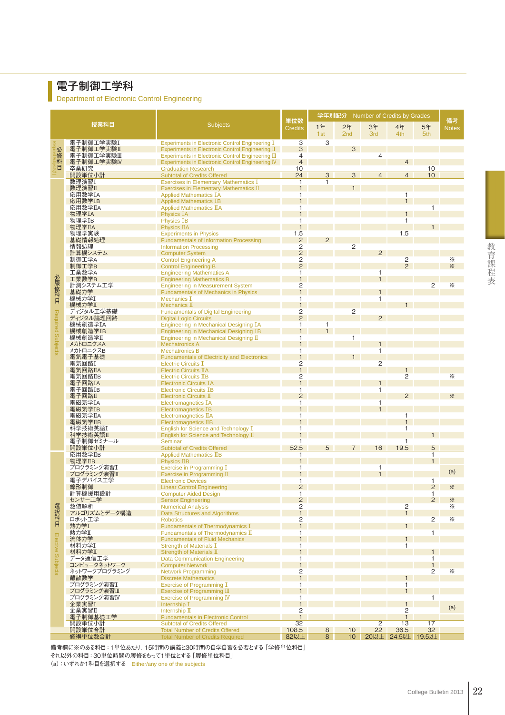#### 電子制御工学科

Department of Electronic Control Engineering

|                   |                          |                                                                                       |                                           | 学年別配分          |                       | Number of Credits by Grades |                                  |                   |                    |
|-------------------|--------------------------|---------------------------------------------------------------------------------------|-------------------------------------------|----------------|-----------------------|-----------------------------|----------------------------------|-------------------|--------------------|
|                   | 授業科目                     | <b>Subjects</b>                                                                       | 単位数<br><b>Credits</b>                     | 1年<br>1st      | 2年<br>2 <sub>nd</sub> | 3年<br><b>3rd</b>            | 4年<br>4th                        | 5年<br>5th         | 備考<br><b>Notes</b> |
|                   | 電子制御工学実験I                | <b>Experiments in Electronic Control Engineering I</b>                                | 3                                         | 3              |                       |                             |                                  |                   |                    |
|                   | 電子制御工学実験Ⅱ                | Experiments in Electronic Control Engineering II                                      | 3                                         |                | 3                     |                             |                                  |                   |                    |
|                   | 電子制御工学実験Ⅲ                | Experiments in Electronic Control Engineering III                                     | 4                                         |                |                       | $\overline{4}$              |                                  |                   |                    |
| 必修科目              | 電子制御工学実験IV<br>卒業研究       | <b>Experiments in Electronic Control Engineering IV</b><br><b>Graduation Research</b> | $\overline{4}$<br>10                      |                |                       |                             | $\overline{4}$                   | 10                |                    |
|                   | 開設単位小計                   | <b>Subtotal of Credits Offered</b>                                                    | 24                                        | $\overline{3}$ | 3                     | $\overline{4}$              | $\overline{4}$                   | 10                |                    |
|                   | 数理演習I                    | <b>Exercises in Elementary Mathematics I</b>                                          | 1                                         | 1              |                       |                             |                                  |                   |                    |
|                   | 数理演習II                   | Exercises in Elementary Mathematics II                                                | $\mathbf{1}$                              |                | 1                     |                             |                                  |                   |                    |
|                   | 応用数学IA                   | <b>Applied Mathematics IA</b>                                                         | 1                                         |                |                       |                             | $\mathbf{1}$                     |                   |                    |
|                   | 応用数学IB                   | <b>Applied Mathematics IB</b>                                                         | $\mathbf{1}$                              |                |                       |                             | $\mathbf{1}$                     |                   |                    |
|                   | 応用数学IIA                  | <b>Applied Mathematics IIA</b>                                                        | 1                                         |                |                       |                             |                                  |                   |                    |
|                   | 物理学IA<br>物理学IB           | <b>Physics IA</b><br><b>Physics IB</b>                                                | 1                                         |                |                       |                             | $\mathbf{1}$<br>$\mathbf{1}$     |                   |                    |
|                   | 物理学IIA                   | <b>Physics IIA</b>                                                                    | $\mathbf{1}$                              |                |                       |                             |                                  |                   |                    |
|                   | 物理学実験                    | <b>Experiments in Physics</b>                                                         |                                           |                |                       |                             | 1.5                              |                   |                    |
|                   | 基礎情報処理                   | <b>Fundamentals of Information Processing</b>                                         | $\frac{1.5}{2}$                           | $\overline{2}$ |                       |                             |                                  |                   |                    |
|                   | 情報処理                     | <b>Information Processing</b>                                                         | $\frac{2}{2}$                             |                | 2                     |                             |                                  |                   |                    |
|                   | 計算機システム                  | <b>Computer System</b>                                                                |                                           |                |                       | $\overline{2}$              |                                  |                   |                    |
|                   | 制御工学A<br>制御工学B           | <b>Control Engineering A</b>                                                          | $\overline{c}$<br>$\overline{2}$          |                |                       |                             | $\overline{2}$<br>$\overline{2}$ |                   | ☀<br>$\frac{1}{2}$ |
|                   | 工業数学A                    | <b>Control Engineering B</b><br><b>Engineering Mathematics A</b>                      | 1                                         |                |                       | 1                           |                                  |                   |                    |
|                   | 工業数学B                    | <b>Engineering Mathematics B</b>                                                      |                                           |                |                       | $\mathbf{1}$                |                                  |                   |                    |
|                   | 計測システム工学                 | <b>Engineering in Measurement System</b>                                              | 2                                         |                |                       |                             |                                  | $\overline{2}$    | ☀                  |
|                   | 基礎力学                     | <b>Fundamentals of Mechanics in Physics</b>                                           | $\overline{1}$                            |                |                       | $\mathbf{1}$                |                                  |                   |                    |
| 必履修科目             | 機械力学I                    | <b>Mechanics T</b>                                                                    | 1                                         |                |                       | 1                           |                                  |                   |                    |
|                   | 機械力学Ⅱ                    | Mechanics $\mathbb I$                                                                 |                                           |                |                       |                             |                                  |                   |                    |
| Required Subjects | ディジタル工学基礎<br>ディジタル論理回路   | <b>Fundamentals of Digital Engineering</b><br><b>Digital Logic Circuits</b>           | $\overline{\mathbf{c}}$<br>$\overline{2}$ |                | 2                     | $\overline{2}$              |                                  |                   |                    |
|                   | 機械創造学IA                  | <b>Engineering in Mechanical Designing IA</b>                                         | 1                                         | 1              |                       |                             |                                  |                   |                    |
|                   | 機械創造学IB                  | <b>Engineering in Mechanical Designing IB</b>                                         | $\mathbf{1}$                              | $\mathbf{1}$   |                       |                             |                                  |                   |                    |
|                   | 機械創造学II                  | Engineering in Mechanical Designing II                                                | 1                                         |                | $\mathbf{1}$          |                             |                                  |                   |                    |
|                   | メカトロニクスA                 | <b>Mechatronics A</b>                                                                 |                                           |                |                       | $\mathbf 1$                 |                                  |                   |                    |
|                   | メカトロニクスB                 | <b>Mechatronics B</b>                                                                 | 1                                         |                |                       | 1                           |                                  |                   |                    |
|                   | 電気電子基礎<br>電気回路I          | <b>Fundamentals of Electricity and Electronics</b><br><b>Electric Circuits I</b>      | $\mathbf{1}$<br>2                         |                | $1 \quad$             | 2                           |                                  |                   |                    |
|                   | 電気回路IIA                  | <b>Electric Circuits IIA</b>                                                          | $\mathbf{1}$                              |                |                       |                             |                                  |                   |                    |
|                   | 電気回路IIB                  | <b>Electric Circuits IIB</b>                                                          | 2                                         |                |                       |                             | $\overline{2}$                   |                   | ⋇                  |
|                   | 電子回路IA                   | <b>Electronic Circuits IA</b>                                                         | $\mathbf{1}$                              |                |                       | $\mathbf{1}$                |                                  |                   |                    |
|                   | 電子回路IB                   | <b>Electronic Circuits IB</b>                                                         | 1                                         |                |                       | $\mathbf{1}$                |                                  |                   |                    |
|                   | 電子回路Ⅱ                    | Electronic Circuits II                                                                | $\overline{2}$                            |                |                       |                             | 2                                |                   | ☀                  |
|                   | 電磁気学IA                   | <b>Electromagnetics IA</b>                                                            | 1                                         |                |                       | 1<br>$\mathbf{1}$           |                                  |                   |                    |
|                   | 電磁気学IB<br>電磁気学IIA        | <b>Electromagnetics IB</b><br>Electromagnetics IIA                                    | 1                                         |                |                       |                             | 1                                |                   |                    |
|                   | 電磁気学IIB                  | Electromagnetics IIB                                                                  |                                           |                |                       |                             | $\mathbf{1}$                     |                   |                    |
|                   | 科学技術英語I                  | English for Science and Technology I                                                  | 1                                         |                |                       |                             | $\mathbf{1}$                     |                   |                    |
|                   | 科学技術英語II                 | English for Science and Technology II                                                 | $\mathbf{1}$                              |                |                       |                             |                                  | 1                 |                    |
|                   | 電子制御ゼミナール                | Seminar                                                                               | 1                                         |                |                       |                             | 1                                |                   |                    |
|                   | 開設単位小計<br>応用数学IIB        | <b>Subtotal of Credits Offered</b><br><b>Applied Mathematics IIB</b>                  | 52.5<br>1                                 | 5              | $\overline{7}$        | 16                          | 19.5                             | 5<br>$\mathbf{1}$ |                    |
|                   | 物理学IIB                   | Physics IIB                                                                           |                                           |                |                       |                             |                                  | $\mathbf{1}$      |                    |
|                   | プログラミング演習I               | Exercise in Programming I                                                             | 1                                         |                |                       | 1                           |                                  |                   |                    |
|                   | プログラミング演習Ⅱ               | Exercise in Programming II                                                            |                                           |                |                       |                             |                                  |                   | (a)                |
|                   | 電子デバイス工学                 | <b>Electronic Devices</b>                                                             | 1                                         |                |                       |                             |                                  | $\mathbf{1}$      |                    |
|                   | 線形制御                     | <b>Linear Control Engineering</b>                                                     | $\overline{2}$                            |                |                       |                             |                                  | $\overline{2}$    | ☀                  |
|                   | 計算機援用設計<br>センサー工学        | <b>Computer Aided Design</b>                                                          | 1<br>$\overline{c}$                       |                |                       |                             |                                  | 1<br>2            |                    |
|                   | 数値解析                     | <b>Sensor Engineering</b><br><b>Numerical Analysis</b>                                | 2                                         |                |                       |                             | $\overline{2}$                   |                   | ☀<br>☀             |
| 選択科目              | アルゴリズムとデータ構造             | <b>Data Structures and Algorithms</b>                                                 | $\mathbf{1}$                              |                |                       |                             | 1                                |                   |                    |
|                   | ロボット工学                   | <b>Robotics</b>                                                                       | 2                                         |                |                       |                             |                                  | $\overline{c}$    | ☀                  |
|                   | 熱力学I                     | Fundamentals of Thermodynamics I                                                      | $\mathbf{1}$                              |                |                       |                             | 1                                |                   |                    |
|                   | 熱力学Ⅱ                     | Fundamentals of Thermodynamics II                                                     | 1                                         |                |                       |                             |                                  | $\mathbf{1}$      |                    |
|                   | 流体力学<br>材料力学I            | <b>Fundamentals of Fluid Mechanics</b>                                                | $\mathbf{1}$<br>1                         |                |                       |                             | 1<br>$\mathbf{1}$                |                   |                    |
| Elective Subjects | 材料力学Ⅱ                    | <b>Strength of Materials I</b><br>Strength of Materials II                            | $\mathbf{1}$                              |                |                       |                             |                                  | 1                 |                    |
|                   | データ通信工学                  | <b>Data Communication Engineering</b>                                                 | 1                                         |                |                       |                             |                                  | $\mathbf{1}$      |                    |
|                   | コンピュータネットワーク             | <b>Computer Network</b>                                                               | $\mathbf{1}$                              |                |                       |                             |                                  | $\mathbf{1}$      |                    |
|                   | ネットワークプログラミング            | <b>Network Programming</b>                                                            | 2                                         |                |                       |                             |                                  | $\overline{c}$    | ☀                  |
|                   | 離散数学                     | <b>Discrete Mathematics</b>                                                           | $\mathbf{1}$                              |                |                       |                             | 1                                |                   |                    |
|                   | プログラミング演習I               | Exercise of Programming I                                                             | 1<br>$\mathbf{1}$                         |                |                       |                             | $\mathbf{1}$<br>1                |                   |                    |
|                   | プログラミング演習Ⅲ<br>ブログラミング演習Ⅳ | Exercise of Programming III<br><b>Exercise of Programming IV</b>                      | 1                                         |                |                       |                             |                                  | $\mathbf{1}$      |                    |
|                   | 企業実習I                    | Internship I                                                                          | $\mathbf{1}$                              |                |                       |                             | 1                                |                   |                    |
|                   | 企業実習Ⅱ                    | Internship II                                                                         | 2                                         |                |                       |                             | 2                                |                   | (a)                |
|                   | 電子制御基礎工学                 | <b>Fundamentals in Electronic Control</b>                                             | $\overline{1}$                            |                |                       |                             | $\mathbf{1}$                     |                   |                    |
|                   | 開設単位小計                   | <b>Subtotal of Credits Offered</b>                                                    | 32                                        |                |                       | $\overline{2}$              | 13                               | 17                |                    |
|                   | 開設単位合計                   | <b>Total Number of Credits Offered</b>                                                | 108.5                                     | 8              | 10                    | 22                          | 36.5                             | 32                |                    |
|                   | 修得単位数合計                  | <b>Total Number of Credits Required</b>                                               | 82以上                                      | 8              | 10                    |                             | 20以上 24.5以上 19.5以上               |                   |                    |

備考欄に※のある科目:1単位あたり、15時間の講義と30時間の自学自習を必要とする「学修単位科目」 それ以外の科目:30単位時間の履修をもって1単位とする「履修単位科目」 (a):いずれか1科目を選択する Either/any one of the subjects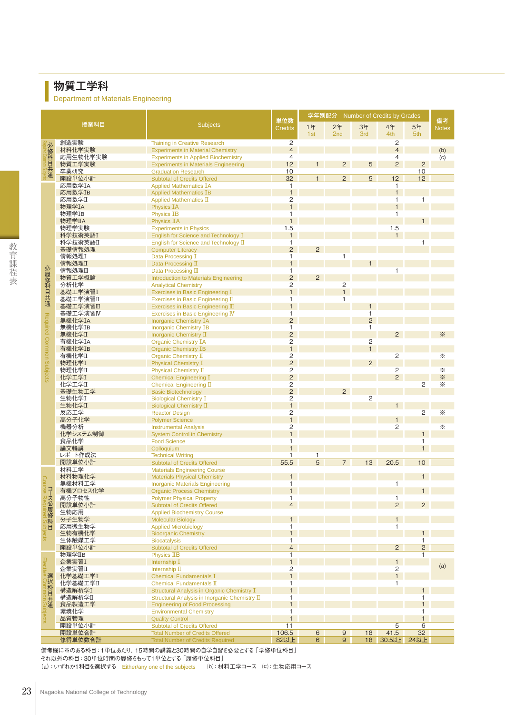## 物質工学科

Department of Materials Engineering

|                          |                     |                                                                                        |                                  | 学年別配分 Number of Credits by Grades |                  |                |                                  |                                |                    |
|--------------------------|---------------------|----------------------------------------------------------------------------------------|----------------------------------|-----------------------------------|------------------|----------------|----------------------------------|--------------------------------|--------------------|
|                          | 授業科目                | <b>Subjects</b>                                                                        | 単位数<br><b>Credits</b>            | 1年                                | 2年               | 3年             | 4年                               | 5年                             | 備考<br><b>Notes</b> |
|                          |                     |                                                                                        |                                  | 1st                               | 2nd              | 3rd            | 4th                              | 5th                            |                    |
|                          | 創造実験                | <b>Training in Creative Research</b>                                                   | 2<br>$\overline{4}$              |                                   |                  |                | $\mathbf{2}$<br>$\overline{4}$   |                                |                    |
| 必修科目共通                   | 材料化学実験<br>応用生物化学実験  | <b>Experiments in Material Chemistry</b><br><b>Experiments in Applied Biochemistry</b> | $\overline{4}$                   |                                   |                  |                | $\overline{4}$                   |                                | (b)<br>(c)         |
|                          | 物質工学実験              | <b>Experiments in Materials Engineering</b>                                            | 12                               | 1 <sup>1</sup>                    | $\overline{2}$   | 5              | $\overline{2}$                   | $\overline{2}$                 |                    |
|                          | 卒業研究                | <b>Graduation Research</b>                                                             | 10                               |                                   |                  |                |                                  | 10                             |                    |
|                          | 開設単位小計              | <b>Subtotal of Credits Offered</b>                                                     | 32                               | 1                                 | $\overline{2}$   | 5              | 12                               | 12                             |                    |
|                          | 応用数学IA              | <b>Applied Mathematics IA</b>                                                          | 1<br>$\mathbf{1}$                |                                   |                  |                | $\mathbf{1}$<br>$\mathbf{1}$     |                                |                    |
|                          | 応用数学IB<br>応用数学Ⅱ     | <b>Applied Mathematics IB</b><br>Applied Mathematics II                                | $\overline{c}$                   |                                   |                  |                | $\mathbf{1}$                     | 1                              |                    |
|                          | 物理学IA               | <b>Physics IA</b>                                                                      | $\mathbf{1}$                     |                                   |                  |                | $\mathbf{1}$                     |                                |                    |
|                          | 物理学IB               | <b>Physics IB</b>                                                                      | $\mathbf{1}$                     |                                   |                  |                | $\mathbf{1}$                     |                                |                    |
|                          | 物理学IIA              | <b>Physics IIA</b>                                                                     | $\overline{1}$                   |                                   |                  |                |                                  |                                |                    |
|                          | 物理学実験               | <b>Experiments in Physics</b>                                                          | 1.5                              |                                   |                  |                | 1.5                              |                                |                    |
|                          | 科学技術英語I<br>科学技術英語II | English for Science and Technology I<br>English for Science and Technology II          | 1<br>1                           |                                   |                  |                | $\mathbf{1}$                     | 1                              |                    |
|                          | 基礎情報処理              | <b>Computer Literacy</b>                                                               | $\overline{2}$                   | $\overline{2}$                    |                  |                |                                  |                                |                    |
|                          | 情報処理I               | Data Processing I                                                                      | 1                                |                                   | 1                |                |                                  |                                |                    |
|                          | 情報処理Ⅱ               | Data Processing II                                                                     | $\mathbf{1}$                     |                                   |                  | $\mathbf{1}$   |                                  |                                |                    |
|                          | 情報処理Ⅲ               | Data Processing III                                                                    | $\mathbf{1}$                     |                                   |                  |                | $\mathbf{1}$                     |                                |                    |
| 必履修科目共通                  | 物質工学概論<br>分析化学      | Introduction to Materials Engineering                                                  | $\overline{2}$<br>$\overline{2}$ | 2                                 | $\overline{c}$   |                |                                  |                                |                    |
|                          | 基礎工学演習I             | <b>Analytical Chemistry</b><br>Exercises in Basic Engineering I                        | $\overline{1}$                   |                                   | $\overline{1}$   |                |                                  |                                |                    |
|                          | 基礎工学演習II            | Exercises in Basic Engineering II                                                      | $\mathbf{1}$                     |                                   | $\mathbf{1}$     |                |                                  |                                |                    |
|                          | 基礎工学演習Ⅲ             | Exercises in Basic Engineering III                                                     | 1                                |                                   |                  | $\mathbf{1}$   |                                  |                                |                    |
|                          | 基礎工学演習IV            | Exercises in Basic Engineering IV                                                      | 1                                |                                   |                  | $\mathbf{1}$   |                                  |                                |                    |
| Required Common Subjects | 無機化学IA              | <b>Inorganic Chemistry IA</b>                                                          | $\overline{2}$                   |                                   |                  | $\overline{2}$ |                                  |                                |                    |
|                          | 無機化学IB<br>無機化学I     | <b>Inorganic Chemistry IB</b><br>Inorganic Chemistry II                                | $\mathbf{1}$<br>$\overline{c}$   |                                   |                  | 1              | 2                                |                                | ☀                  |
|                          | 有機化学IA              | <b>Organic Chemistry IA</b>                                                            | $\overline{c}$                   |                                   |                  | $\overline{c}$ |                                  |                                |                    |
|                          | 有機化学IB              | <b>Organic Chemistry IB</b>                                                            | $\mathbf{1}$                     |                                   |                  | $\mathbf{1}$   |                                  |                                |                    |
|                          | 有機化学Ⅱ               | Organic Chemistry II                                                                   | $\overline{2}$                   |                                   |                  |                | $\overline{2}$                   |                                | ☀                  |
|                          | 物理化学I               | <b>Physical Chemistry I</b>                                                            | $\overline{2}$                   |                                   |                  | $\overline{2}$ |                                  |                                |                    |
|                          | 物理化学Ⅱ<br>化学工学I      | Physical Chemistry II                                                                  | $\frac{2}{2}$                    |                                   |                  |                | $\overline{c}$<br>$\overline{c}$ |                                | ☀<br>☀             |
|                          | 化学工学I               | <b>Chemical Engineering I</b><br>Chemical Engineering II                               | $\overline{c}$                   |                                   |                  |                |                                  | 2                              | ☀                  |
|                          | 基礎生物工学              | <b>Basic Biotechnology</b>                                                             | $\overline{c}$                   |                                   | $\overline{2}$   |                |                                  |                                |                    |
|                          | 生物化学I               | <b>Biological Chemistry I</b>                                                          | 2                                |                                   |                  | $\overline{c}$ |                                  |                                |                    |
|                          | 生物化学Ⅱ               | <b>Biological Chemistry II</b>                                                         | $\mathbf{1}$                     |                                   |                  |                | 1                                |                                |                    |
|                          | 反応工学                | <b>Reactor Design</b>                                                                  | $\overline{c}$                   |                                   |                  |                |                                  | $\overline{2}$                 | ☀                  |
|                          | 高分子化学<br>機器分析       | <b>Polymer Science</b><br><b>Instrumental Analysis</b>                                 | $\mathbf{1}$<br>2                |                                   |                  |                | 1<br>$\overline{c}$              |                                | ☀                  |
|                          | 化学システム制御            | <b>System Control in Chemistry</b>                                                     | $\mathbf{1}$                     |                                   |                  |                |                                  | 1                              |                    |
|                          | 食品化学                | <b>Food Science</b>                                                                    | 1                                |                                   |                  |                |                                  | $\mathbf{1}$                   |                    |
|                          | 論文輪講                | Colloquium                                                                             | $\mathbf{1}$                     |                                   |                  |                |                                  | $\mathbf{1}$                   |                    |
|                          | レポート作成法             | <b>Technical Writing</b>                                                               | 1                                | 1                                 |                  |                |                                  |                                |                    |
|                          | 開設単位小計<br>材料工学      | <b>Subtotal of Credits Offered</b><br><b>Materials Engineering Course</b>              | 55.5                             | $\overline{5}$                    | $\overline{7}$   | 13             | 20.5                             | 10                             |                    |
|                          | 材料物理化学              | <b>Materials Physical Chemistry</b>                                                    | $\mathbf{1}$                     |                                   |                  |                |                                  | $\mathbf{1}$                   |                    |
| ဂ္ဂ                      | 無機材料工学              | <b>Inorganic Materials Engineering</b>                                                 | $\mathbf{1}$                     |                                   |                  |                | $\mathbf{1}$                     |                                |                    |
|                          | 有機プロセス化学            | <b>Organic Process Chemistry</b>                                                       |                                  |                                   |                  |                |                                  |                                |                    |
| 。p^ 2必履修科目               | 高分子物性               | <b>Polymer Physical Property</b>                                                       | 1                                |                                   |                  |                | $\mathbf{1}$                     |                                |                    |
|                          | 開設単位小計<br>生物応用      | <b>Subtotal of Credits Offered</b><br><b>Applied Biochemistry Course</b>               | $\overline{4}$                   |                                   |                  |                | $\overline{2}$                   | $2^{\circ}$                    |                    |
|                          | 分子生物学               | <b>Molecular Biology</b>                                                               | 1                                |                                   |                  |                | 1                                |                                |                    |
|                          | 応用微生物学              | <b>Applied Microbiology</b>                                                            | 1                                |                                   |                  |                | $\mathbf{1}$                     |                                |                    |
| ິສິ                      | 生物有機化学              | <b>Bioorganic Chemistry</b>                                                            | $\mathbf{1}$                     |                                   |                  |                |                                  | 1                              |                    |
|                          | 生体触媒工学              | <b>Biocatalysis</b>                                                                    | $\mathbf{1}$                     |                                   |                  |                |                                  | $\mathbf{1}$                   |                    |
|                          | 開設単位小計<br>物理学IIB    | Subtotal of Credits Offered<br><b>Physics IIB</b>                                      | $\overline{4}$<br>$\mathbf{1}$   |                                   |                  |                | $\overline{2}$                   | $\overline{2}$<br>$\mathbf{1}$ |                    |
|                          | 企業実習I               | Internship I                                                                           | $\mathbf{1}$                     |                                   |                  |                | 1                                |                                |                    |
| Electi                   | 企業実習Ⅱ               | Internship $\mathbb I$                                                                 | 2                                |                                   |                  |                | 2                                |                                | (a)                |
|                          | 化学基礎工学I             | <b>Chemical Fundamentals I</b>                                                         | $\mathbf{1}$                     |                                   |                  |                | 1                                |                                |                    |
| 選択科目共通                   | 化学基礎工学II            | Chemical Fundamentals II                                                               | 1                                |                                   |                  |                | $\mathbf{1}$                     |                                |                    |
|                          | 構造解析学I              | Structural Analysis in Organic Chemistry I                                             | $\mathbf{1}$                     |                                   |                  |                |                                  | $\mathbf{1}$                   |                    |
|                          | 構造解析学II<br>食品製造工学   | Structural Analysis in Inorganic Chemistry II<br><b>Engineering of Food Processing</b> | 1<br>$\mathbf{1}$                |                                   |                  |                |                                  | $\mathbf{1}$<br>1              |                    |
|                          | 環境化学                | <b>Environmental Chemistry</b>                                                         | 1                                |                                   |                  |                |                                  | 1                              |                    |
| iects                    | 品質管理                | <b>Quality Control</b>                                                                 | $\mathbf{1}$                     |                                   |                  |                |                                  | $\mathbf{1}$                   |                    |
|                          | 開設単位小計              | <b>Subtotal of Credits Offered</b>                                                     | 11                               |                                   |                  |                | 5                                | $6\overline{6}$                |                    |
|                          | 開設単位合計              | <b>Total Number of Credits Offered</b>                                                 | 106.5                            | 6                                 | $9\,$            | 18             | 41.5                             | 32                             |                    |
|                          | 修得単位数合計             | <b>Total Number of Credits Required</b>                                                | 82以上                             | 6                                 | $\boldsymbol{9}$ | 18             | 30.5以上                           | 24以上                           |                    |

備考欄に※のある科目:1単位あたり、15時間の講義と30時間の自学自習を必要とする「学修単位科目」 それ以外の科目:30単位時間の履修をもって1単位とする「履修単位科目」 (a):いずれか1科目を選択する Either/any one of the subjects (b):材料工学コース (c):生物応用コース